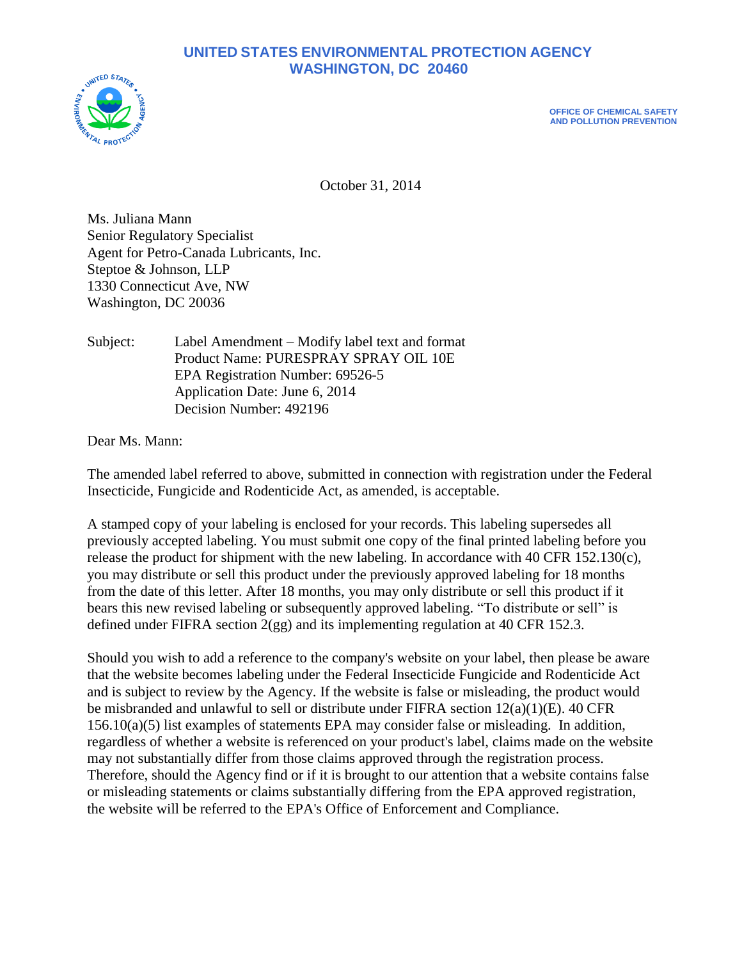# **UNITED STATES ENVIRONMENTAL PROTECTION AGENCY WASHINGTON, DC 20460**



**OFFICE OF CHEMICAL SAFETY AND POLLUTION PREVENTION**

October 31, 2014

Ms. Juliana Mann Senior Regulatory Specialist Agent for Petro-Canada Lubricants, Inc. Steptoe & Johnson, LLP 1330 Connecticut Ave, NW Washington, DC 20036

Subject: Label Amendment – Modify label text and format Product Name: PURESPRAY SPRAY OIL 10E EPA Registration Number: 69526-5 Application Date: June 6, 2014 Decision Number: 492196

Dear Ms. Mann:

The amended label referred to above, submitted in connection with registration under the Federal Insecticide, Fungicide and Rodenticide Act, as amended, is acceptable.

A stamped copy of your labeling is enclosed for your records. This labeling supersedes all previously accepted labeling. You must submit one copy of the final printed labeling before you release the product for shipment with the new labeling. In accordance with 40 CFR 152.130(c), you may distribute or sell this product under the previously approved labeling for 18 months from the date of this letter. After 18 months, you may only distribute or sell this product if it bears this new revised labeling or subsequently approved labeling. "To distribute or sell" is defined under FIFRA section 2(gg) and its implementing regulation at 40 CFR 152.3.

Should you wish to add a reference to the company's website on your label, then please be aware that the website becomes labeling under the Federal Insecticide Fungicide and Rodenticide Act and is subject to review by the Agency. If the website is false or misleading, the product would be misbranded and unlawful to sell or distribute under FIFRA section  $12(a)(1)(E)$ . 40 CFR  $156.10(a)(5)$  list examples of statements EPA may consider false or misleading. In addition, regardless of whether a website is referenced on your product's label, claims made on the website may not substantially differ from those claims approved through the registration process. Therefore, should the Agency find or if it is brought to our attention that a website contains false or misleading statements or claims substantially differing from the EPA approved registration, the website will be referred to the EPA's Office of Enforcement and Compliance.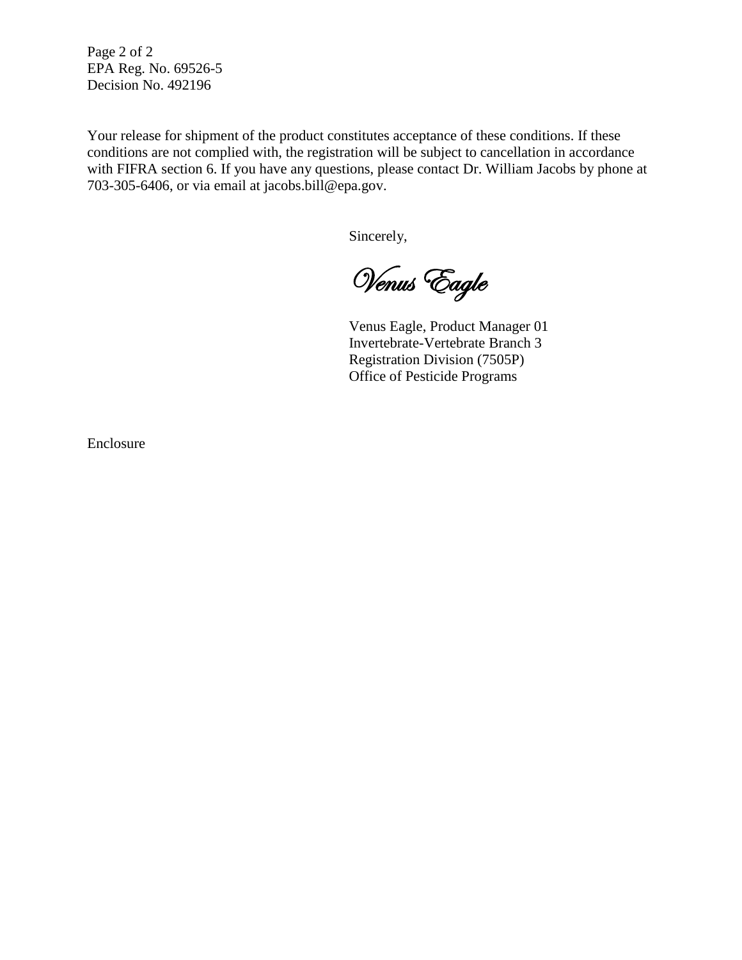Page 2 of 2 EPA Reg. No. 69526-5 Decision No. 492196

Your release for shipment of the product constitutes acceptance of these conditions. If these conditions are not complied with, the registration will be subject to cancellation in accordance with FIFRA section 6. If you have any questions, please contact Dr. William Jacobs by phone at 703-305-6406, or via email at jacobs.bill@epa.gov.

Sincerely,

Venus Eagle

Venus Eagle, Product Manager 01 Invertebrate-Vertebrate Branch 3 Registration Division (7505P) Office of Pesticide Programs

Enclosure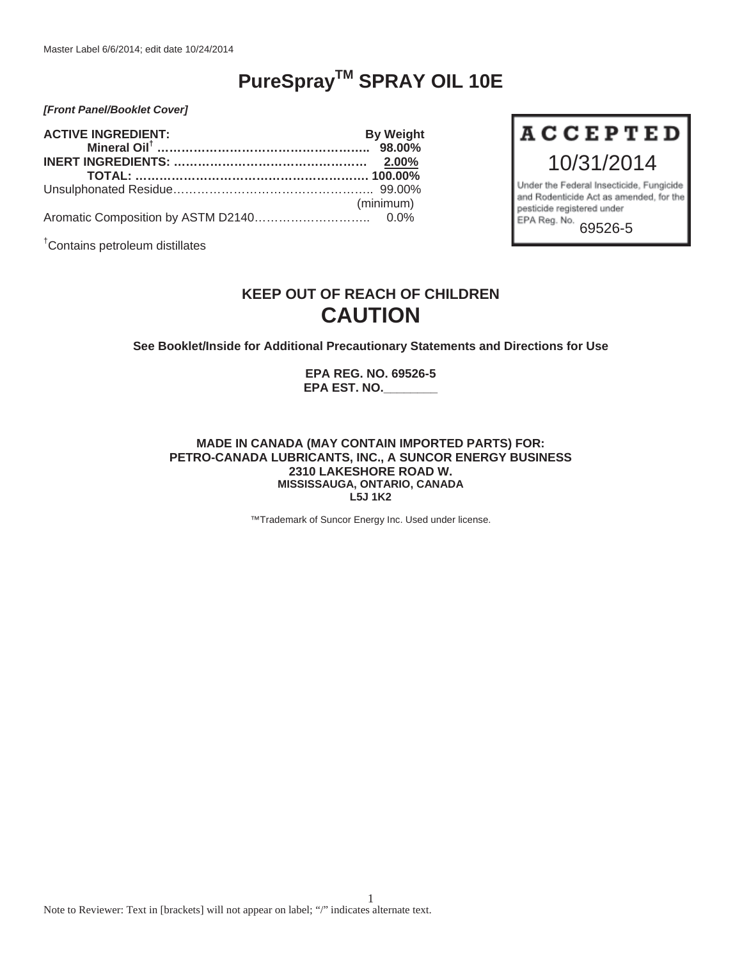# **PureSprayTM SPRAY OIL 10E**

10/31/2014

Under the Federal Insecticide, Fungicide and Rodenticide Act as amended, for the

pesticide registered under

EPA Reg. No.

**ACCEPTED** 

69526-5

*[Front Panel/Booklet Cover]*

| <b>ACTIVE INGREDIENT:</b> | <b>By Weight</b> |
|---------------------------|------------------|
|                           |                  |
|                           |                  |
|                           |                  |
|                           | (minimum)        |
|                           |                  |

† Contains petroleum distillates

## **KEEP OUT OF REACH OF CHILDREN CAUTION**

**See Booklet/Inside for Additional Precautionary Statements and Directions for Use** 

**EPA REG. NO. 69526-5 EPA EST. NO.\_\_\_\_\_\_\_\_** 

#### **MADE IN CANADA (MAY CONTAIN IMPORTED PARTS) FOR: PETRO-CANADA LUBRICANTS, INC., A SUNCOR ENERGY BUSINESS 2310 LAKESHORE ROAD W. MISSISSAUGA, ONTARIO, CANADA L5J 1K2**

™Trademark of Suncor Energy Inc. Used under license.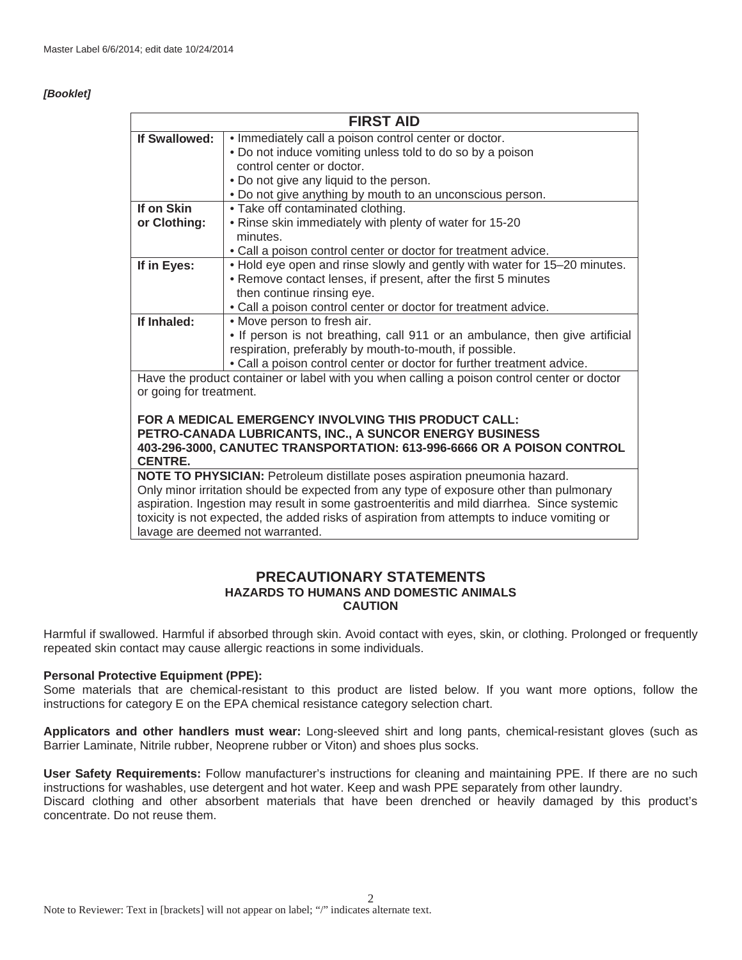#### *[Booklet]*

| <b>FIRST AID</b>                                                                        |                                                                                             |
|-----------------------------------------------------------------------------------------|---------------------------------------------------------------------------------------------|
| If Swallowed:                                                                           | . Immediately call a poison control center or doctor.                                       |
|                                                                                         | . Do not induce vomiting unless told to do so by a poison                                   |
|                                                                                         | control center or doctor.                                                                   |
|                                                                                         | • Do not give any liquid to the person.                                                     |
|                                                                                         | . Do not give anything by mouth to an unconscious person.                                   |
| If on Skin                                                                              | • Take off contaminated clothing.                                                           |
| or Clothing:                                                                            | . Rinse skin immediately with plenty of water for 15-20                                     |
|                                                                                         | minutes.                                                                                    |
|                                                                                         | • Call a poison control center or doctor for treatment advice.                              |
| If in Eyes:                                                                             | . Hold eye open and rinse slowly and gently with water for 15-20 minutes.                   |
|                                                                                         | • Remove contact lenses, if present, after the first 5 minutes                              |
|                                                                                         | then continue rinsing eye.                                                                  |
|                                                                                         | • Call a poison control center or doctor for treatment advice.                              |
| If Inhaled:                                                                             | • Move person to fresh air.                                                                 |
|                                                                                         | . If person is not breathing, call 911 or an ambulance, then give artificial                |
|                                                                                         | respiration, preferably by mouth-to-mouth, if possible.                                     |
|                                                                                         | . Call a poison control center or doctor for further treatment advice.                      |
|                                                                                         | Have the product container or label with you when calling a poison control center or doctor |
| or going for treatment.                                                                 |                                                                                             |
|                                                                                         |                                                                                             |
|                                                                                         | FOR A MEDICAL EMERGENCY INVOLVING THIS PRODUCT CALL:                                        |
| PETRO-CANADA LUBRICANTS, INC., A SUNCOR ENERGY BUSINESS                                 |                                                                                             |
| 403-296-3000, CANUTEC TRANSPORTATION: 613-996-6666 OR A POISON CONTROL                  |                                                                                             |
| <b>CENTRE.</b>                                                                          |                                                                                             |
| NOTE TO PHYSICIAN: Petroleum distillate poses aspiration pneumonia hazard.              |                                                                                             |
| Only minor irritation should be expected from any type of exposure other than pulmonary |                                                                                             |

minor irritation should be expected from any type of exposure other than pulmonary aspiration. Ingestion may result in some gastroenteritis and mild diarrhea. Since systemic toxicity is not expected, the added risks of aspiration from attempts to induce vomiting or lavage are deemed not warranted.

## **PRECAUTIONARY STATEMENTS HAZARDS TO HUMANS AND DOMESTIC ANIMALS CAUTION**

Harmful if swallowed. Harmful if absorbed through skin. Avoid contact with eyes, skin, or clothing. Prolonged or frequently repeated skin contact may cause allergic reactions in some individuals.

#### **Personal Protective Equipment (PPE):**

Some materials that are chemical-resistant to this product are listed below. If you want more options, follow the instructions for category E on the EPA chemical resistance category selection chart.

**Applicators and other handlers must wear:** Long-sleeved shirt and long pants, chemical-resistant gloves (such as Barrier Laminate, Nitrile rubber, Neoprene rubber or Viton) and shoes plus socks.

**User Safety Requirements:** Follow manufacturer's instructions for cleaning and maintaining PPE. If there are no such instructions for washables, use detergent and hot water. Keep and wash PPE separately from other laundry. Discard clothing and other absorbent materials that have been drenched or heavily damaged by this product's concentrate. Do not reuse them.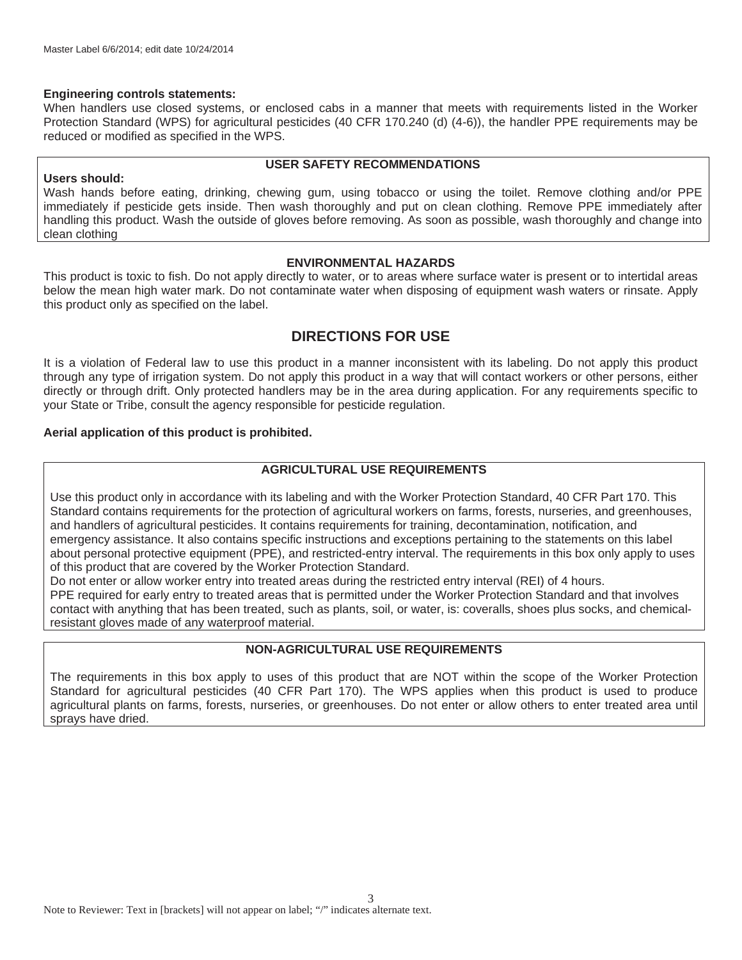#### **Engineering controls statements:**

When handlers use closed systems, or enclosed cabs in a manner that meets with requirements listed in the Worker Protection Standard (WPS) for agricultural pesticides (40 CFR 170.240 (d) (4-6)), the handler PPE requirements may be reduced or modified as specified in the WPS.

#### **Users should:**

#### **USER SAFETY RECOMMENDATIONS**

Wash hands before eating, drinking, chewing gum, using tobacco or using the toilet. Remove clothing and/or PPE immediately if pesticide gets inside. Then wash thoroughly and put on clean clothing. Remove PPE immediately after handling this product. Wash the outside of gloves before removing. As soon as possible, wash thoroughly and change into clean clothing

#### **ENVIRONMENTAL HAZARDS**

This product is toxic to fish. Do not apply directly to water, or to areas where surface water is present or to intertidal areas below the mean high water mark. Do not contaminate water when disposing of equipment wash waters or rinsate. Apply this product only as specified on the label.

## **DIRECTIONS FOR USE**

It is a violation of Federal law to use this product in a manner inconsistent with its labeling. Do not apply this product through any type of irrigation system. Do not apply this product in a way that will contact workers or other persons, either directly or through drift. Only protected handlers may be in the area during application. For any requirements specific to your State or Tribe, consult the agency responsible for pesticide regulation.

#### **Aerial application of this product is prohibited.**

## **AGRICULTURAL USE REQUIREMENTS**

Use this product only in accordance with its labeling and with the Worker Protection Standard, 40 CFR Part 170. This Standard contains requirements for the protection of agricultural workers on farms, forests, nurseries, and greenhouses, and handlers of agricultural pesticides. It contains requirements for training, decontamination, notification, and emergency assistance. It also contains specific instructions and exceptions pertaining to the statements on this label about personal protective equipment (PPE), and restricted-entry interval. The requirements in this box only apply to uses of this product that are covered by the Worker Protection Standard.

Do not enter or allow worker entry into treated areas during the restricted entry interval (REI) of 4 hours. PPE required for early entry to treated areas that is permitted under the Worker Protection Standard and that involves contact with anything that has been treated, such as plants, soil, or water, is: coveralls, shoes plus socks, and chemicalresistant gloves made of any waterproof material.

## **NON-AGRICULTURAL USE REQUIREMENTS**

The requirements in this box apply to uses of this product that are NOT within the scope of the Worker Protection Standard for agricultural pesticides (40 CFR Part 170). The WPS applies when this product is used to produce agricultural plants on farms, forests, nurseries, or greenhouses. Do not enter or allow others to enter treated area until sprays have dried.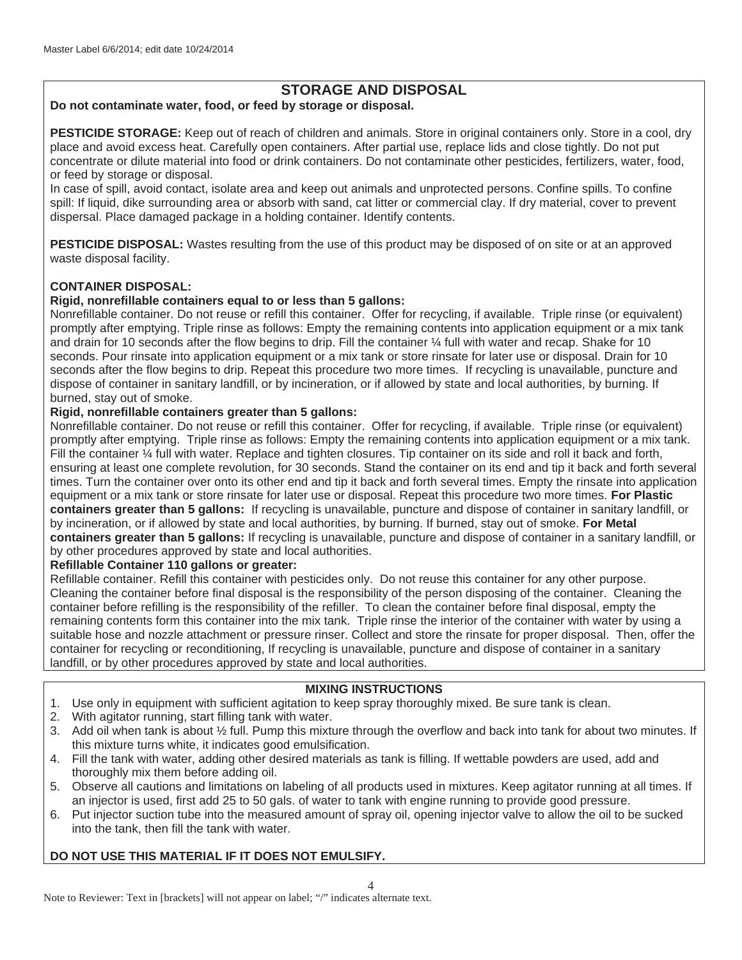## **STORAGE AND DISPOSAL**

## **Do not contaminate water, food, or feed by storage or disposal.**

**PESTICIDE STORAGE:** Keep out of reach of children and animals. Store in original containers only. Store in a cool, dry place and avoid excess heat. Carefully open containers. After partial use, replace lids and close tightly. Do not put concentrate or dilute material into food or drink containers. Do not contaminate other pesticides, fertilizers, water, food, or feed by storage or disposal.

In case of spill, avoid contact, isolate area and keep out animals and unprotected persons. Confine spills. To confine spill: If liquid, dike surrounding area or absorb with sand, cat litter or commercial clay. If dry material, cover to prevent dispersal. Place damaged package in a holding container. Identify contents.

**PESTICIDE DISPOSAL:** Wastes resulting from the use of this product may be disposed of on site or at an approved waste disposal facility.

## **CONTAINER DISPOSAL:**

## **Rigid, nonrefillable containers equal to or less than 5 gallons:**

Nonrefillable container. Do not reuse or refill this container. Offer for recycling, if available. Triple rinse (or equivalent) promptly after emptying. Triple rinse as follows: Empty the remaining contents into application equipment or a mix tank and drain for 10 seconds after the flow begins to drip. Fill the container 1/4 full with water and recap. Shake for 10 seconds. Pour rinsate into application equipment or a mix tank or store rinsate for later use or disposal. Drain for 10 seconds after the flow begins to drip. Repeat this procedure two more times. If recycling is unavailable, puncture and dispose of container in sanitary landfill, or by incineration, or if allowed by state and local authorities, by burning. If burned, stay out of smoke.

#### **Rigid, nonrefillable containers greater than 5 gallons:**

Nonrefillable container. Do not reuse or refill this container. Offer for recycling, if available. Triple rinse (or equivalent) promptly after emptying. Triple rinse as follows: Empty the remaining contents into application equipment or a mix tank. Fill the container ¼ full with water. Replace and tighten closures. Tip container on its side and roll it back and forth, ensuring at least one complete revolution, for 30 seconds. Stand the container on its end and tip it back and forth several times. Turn the container over onto its other end and tip it back and forth several times. Empty the rinsate into application equipment or a mix tank or store rinsate for later use or disposal. Repeat this procedure two more times. **For Plastic containers greater than 5 gallons:** If recycling is unavailable, puncture and dispose of container in sanitary landfill, or by incineration, or if allowed by state and local authorities, by burning. If burned, stay out of smoke. **For Metal containers greater than 5 gallons:** If recycling is unavailable, puncture and dispose of container in a sanitary landfill, or by other procedures approved by state and local authorities.

## **Refillable Container 110 gallons or greater:**

Refillable container. Refill this container with pesticides only. Do not reuse this container for any other purpose. Cleaning the container before final disposal is the responsibility of the person disposing of the container. Cleaning the container before refilling is the responsibility of the refiller. To clean the container before final disposal, empty the remaining contents form this container into the mix tank. Triple rinse the interior of the container with water by using a suitable hose and nozzle attachment or pressure rinser. Collect and store the rinsate for proper disposal. Then, offer the container for recycling or reconditioning, If recycling is unavailable, puncture and dispose of container in a sanitary landfill, or by other procedures approved by state and local authorities.

## **MIXING INSTRUCTIONS**

- 1. Use only in equipment with sufficient agitation to keep spray thoroughly mixed. Be sure tank is clean.
- 2. With agitator running, start filling tank with water.
- 3. Add oil when tank is about ½ full. Pump this mixture through the overflow and back into tank for about two minutes. If this mixture turns white, it indicates good emulsification.
- 4. Fill the tank with water, adding other desired materials as tank is filling. If wettable powders are used, add and thoroughly mix them before adding oil.
- 5. Observe all cautions and limitations on labeling of all products used in mixtures. Keep agitator running at all times. If an injector is used, first add 25 to 50 gals. of water to tank with engine running to provide good pressure.
- 6. Put injector suction tube into the measured amount of spray oil, opening injector valve to allow the oil to be sucked into the tank, then fill the tank with water.

## **DO NOT USE THIS MATERIAL IF IT DOES NOT EMULSIFY.**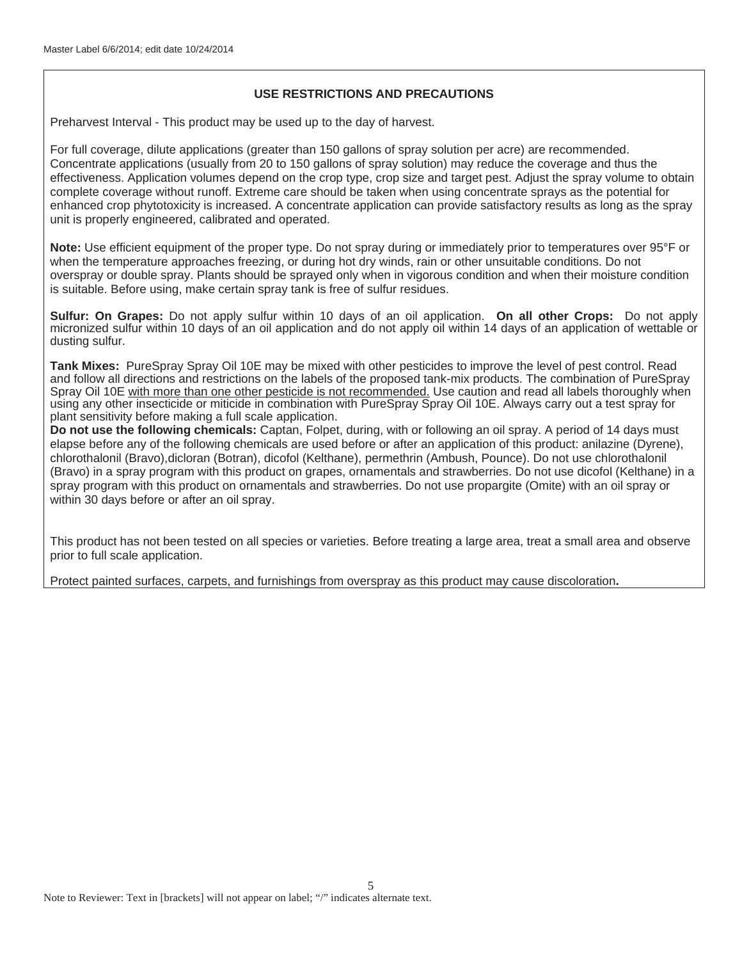## **USE RESTRICTIONS AND PRECAUTIONS**

Preharvest Interval - This product may be used up to the day of harvest.

For full coverage, dilute applications (greater than 150 gallons of spray solution per acre) are recommended. Concentrate applications (usually from 20 to 150 gallons of spray solution) may reduce the coverage and thus the effectiveness. Application volumes depend on the crop type, crop size and target pest. Adjust the spray volume to obtain complete coverage without runoff. Extreme care should be taken when using concentrate sprays as the potential for enhanced crop phytotoxicity is increased. A concentrate application can provide satisfactory results as long as the spray unit is properly engineered, calibrated and operated.

**Note:** Use efficient equipment of the proper type. Do not spray during or immediately prior to temperatures over 95°F or when the temperature approaches freezing, or during hot dry winds, rain or other unsuitable conditions. Do not overspray or double spray. Plants should be sprayed only when in vigorous condition and when their moisture condition is suitable. Before using, make certain spray tank is free of sulfur residues.

**Sulfur: On Grapes:** Do not apply sulfur within 10 days of an oil application. **On all other Crops:** Do not apply micronized sulfur within 10 days of an oil application and do not apply oil within 14 days of an application of wettable or dusting sulfur.

**Tank Mixes:** PureSpray Spray Oil 10E may be mixed with other pesticides to improve the level of pest control. Read and follow all directions and restrictions on the labels of the proposed tank-mix products. The combination of PureSpray Spray Oil 10E with more than one other pesticide is not recommended. Use caution and read all labels thoroughly when using any other insecticide or miticide in combination with PureSpray Spray Oil 10E. Always carry out a test spray for plant sensitivity before making a full scale application.

**Do not use the following chemicals:** Captan, Folpet, during, with or following an oil spray. A period of 14 days must elapse before any of the following chemicals are used before or after an application of this product: anilazine (Dyrene), chlorothalonil (Bravo),dicloran (Botran), dicofol (Kelthane), permethrin (Ambush, Pounce). Do not use chlorothalonil (Bravo) in a spray program with this product on grapes, ornamentals and strawberries. Do not use dicofol (Kelthane) in a spray program with this product on ornamentals and strawberries. Do not use propargite (Omite) with an oil spray or within 30 days before or after an oil spray.

This product has not been tested on all species or varieties. Before treating a large area, treat a small area and observe prior to full scale application.

Protect painted surfaces, carpets, and furnishings from overspray as this product may cause discoloration**.**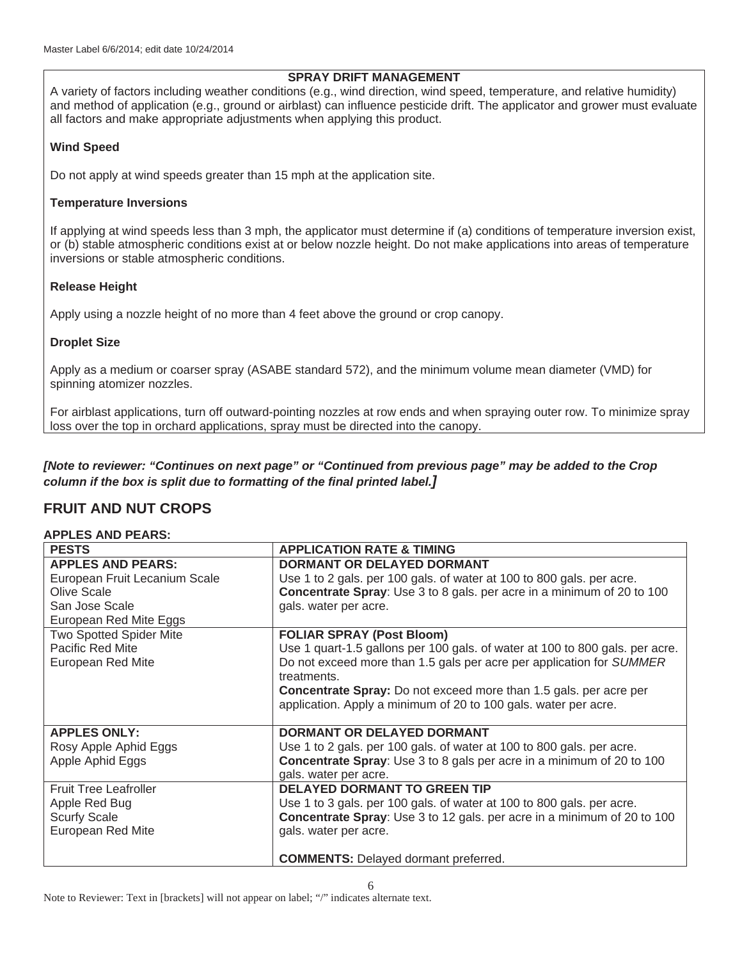## **SPRAY DRIFT MANAGEMENT**

A variety of factors including weather conditions (e.g., wind direction, wind speed, temperature, and relative humidity) and method of application (e.g., ground or airblast) can influence pesticide drift. The applicator and grower must evaluate all factors and make appropriate adjustments when applying this product.

## **Wind Speed**

Do not apply at wind speeds greater than 15 mph at the application site.

## **Temperature Inversions**

If applying at wind speeds less than 3 mph, the applicator must determine if (a) conditions of temperature inversion exist, or (b) stable atmospheric conditions exist at or below nozzle height. Do not make applications into areas of temperature inversions or stable atmospheric conditions.

## **Release Height**

Apply using a nozzle height of no more than 4 feet above the ground or crop canopy.

## **Droplet Size**

Apply as a medium or coarser spray (ASABE standard 572), and the minimum volume mean diameter (VMD) for spinning atomizer nozzles.

For airblast applications, turn off outward-pointing nozzles at row ends and when spraying outer row. To minimize spray loss over the top in orchard applications, spray must be directed into the canopy.

*[Note to reviewer: "Continues on next page" or "Continued from previous page" may be added to the Crop column if the box is split due to formatting of the final printed label.]*

## **FRUIT AND NUT CROPS**

## **APPLES AND PEARS:**

| <b>PESTS</b>                   | <b>APPLICATION RATE &amp; TIMING</b>                                          |
|--------------------------------|-------------------------------------------------------------------------------|
| <b>APPLES AND PEARS:</b>       | <b>DORMANT OR DELAYED DORMANT</b>                                             |
| European Fruit Lecanium Scale  | Use 1 to 2 gals. per 100 gals. of water at 100 to 800 gals. per acre.         |
| Olive Scale                    | <b>Concentrate Spray:</b> Use 3 to 8 gals. per acre in a minimum of 20 to 100 |
| San Jose Scale                 | gals. water per acre.                                                         |
| European Red Mite Eggs         |                                                                               |
| <b>Two Spotted Spider Mite</b> | <b>FOLIAR SPRAY (Post Bloom)</b>                                              |
| Pacific Red Mite               | Use 1 quart-1.5 gallons per 100 gals. of water at 100 to 800 gals. per acre.  |
| European Red Mite              | Do not exceed more than 1.5 gals per acre per application for SUMMER          |
|                                | treatments.                                                                   |
|                                | <b>Concentrate Spray:</b> Do not exceed more than 1.5 gals. per acre per      |
|                                | application. Apply a minimum of 20 to 100 gals. water per acre.               |
|                                |                                                                               |
| <b>APPLES ONLY:</b>            | <b>DORMANT OR DELAYED DORMANT</b>                                             |
| Rosy Apple Aphid Eggs          | Use 1 to 2 gals. per 100 gals. of water at 100 to 800 gals. per acre.         |
| Apple Aphid Eggs               | <b>Concentrate Spray:</b> Use 3 to 8 gals per acre in a minimum of 20 to 100  |
|                                | gals. water per acre.                                                         |
| <b>Fruit Tree Leafroller</b>   | <b>DELAYED DORMANT TO GREEN TIP</b>                                           |
| Apple Red Bug                  | Use 1 to 3 gals. per 100 gals. of water at 100 to 800 gals. per acre.         |
| <b>Scurfy Scale</b>            | Concentrate Spray: Use 3 to 12 gals. per acre in a minimum of 20 to 100       |
| European Red Mite              | gals. water per acre.                                                         |
|                                |                                                                               |
|                                | <b>COMMENTS:</b> Delayed dormant preferred.                                   |

Note to Reviewer: Text in [brackets] will not appear on label; "/" indicates alternate text.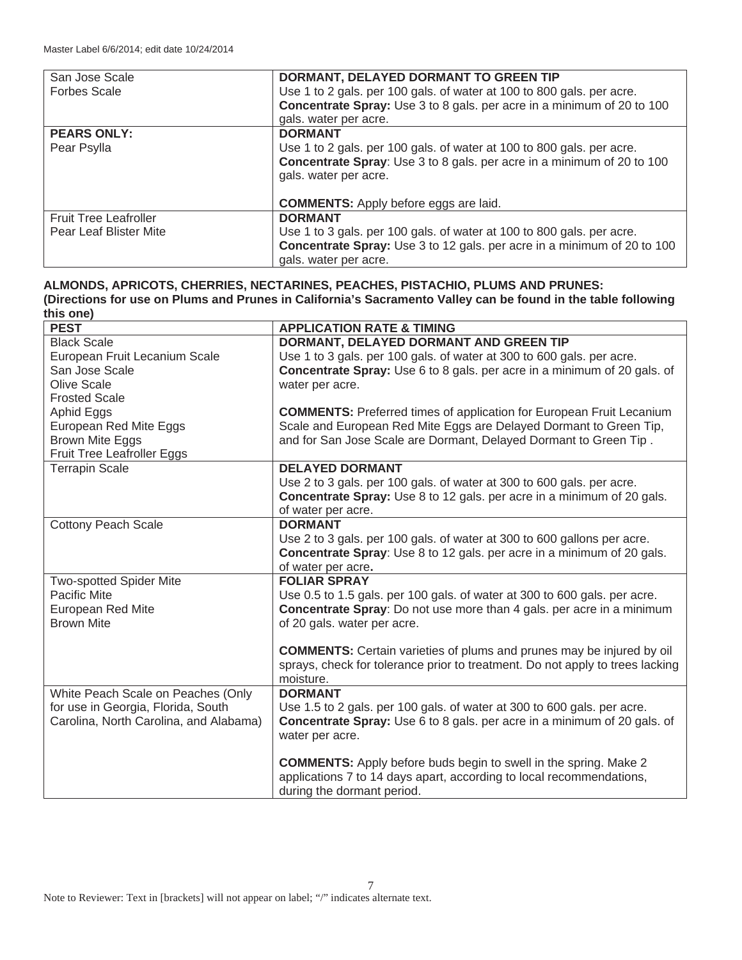| San Jose Scale               | DORMANT, DELAYED DORMANT TO GREEN TIP                                         |
|------------------------------|-------------------------------------------------------------------------------|
| <b>Forbes Scale</b>          | Use 1 to 2 gals. per 100 gals. of water at 100 to 800 gals. per acre.         |
|                              | <b>Concentrate Spray:</b> Use 3 to 8 gals. per acre in a minimum of 20 to 100 |
|                              | gals. water per acre.                                                         |
| <b>PEARS ONLY:</b>           | <b>DORMANT</b>                                                                |
| Pear Psylla                  | Use 1 to 2 gals. per 100 gals. of water at 100 to 800 gals. per acre.         |
|                              | Concentrate Spray: Use 3 to 8 gals. per acre in a minimum of 20 to 100        |
|                              | gals. water per acre.                                                         |
|                              |                                                                               |
|                              | <b>COMMENTS:</b> Apply before eggs are laid.                                  |
| <b>Fruit Tree Leafroller</b> | <b>DORMANT</b>                                                                |
| Pear Leaf Blister Mite       | Use 1 to 3 gals. per 100 gals. of water at 100 to 800 gals. per acre.         |
|                              | Concentrate Spray: Use 3 to 12 gals. per acre in a minimum of 20 to 100       |
|                              | gals. water per acre.                                                         |

#### **ALMONDS, APRICOTS, CHERRIES, NECTARINES, PEACHES, PISTACHIO, PLUMS AND PRUNES: (Directions for use on Plums and Prunes in California's Sacramento Valley can be found in the table following this one)**

| $\cdots$                               |                                                                                 |
|----------------------------------------|---------------------------------------------------------------------------------|
| <b>PEST</b>                            | <b>APPLICATION RATE &amp; TIMING</b>                                            |
| <b>Black Scale</b>                     | DORMANT, DELAYED DORMANT AND GREEN TIP                                          |
| European Fruit Lecanium Scale          | Use 1 to 3 gals. per 100 gals. of water at 300 to 600 gals. per acre.           |
| San Jose Scale                         | Concentrate Spray: Use 6 to 8 gals. per acre in a minimum of 20 gals. of        |
| <b>Olive Scale</b>                     | water per acre.                                                                 |
| <b>Frosted Scale</b>                   |                                                                                 |
| Aphid Eggs                             | <b>COMMENTS:</b> Preferred times of application for European Fruit Lecanium     |
| European Red Mite Eggs                 | Scale and European Red Mite Eggs are Delayed Dormant to Green Tip,              |
| <b>Brown Mite Eggs</b>                 | and for San Jose Scale are Dormant, Delayed Dormant to Green Tip.               |
| Fruit Tree Leafroller Eggs             |                                                                                 |
| <b>Terrapin Scale</b>                  | <b>DELAYED DORMANT</b>                                                          |
|                                        | Use 2 to 3 gals. per 100 gals. of water at 300 to 600 gals. per acre.           |
|                                        | <b>Concentrate Spray:</b> Use 8 to 12 gals. per acre in a minimum of 20 gals.   |
|                                        | of water per acre.                                                              |
| <b>Cottony Peach Scale</b>             | <b>DORMANT</b>                                                                  |
|                                        | Use 2 to 3 gals. per 100 gals. of water at 300 to 600 gallons per acre.         |
|                                        | <b>Concentrate Spray:</b> Use 8 to 12 gals. per acre in a minimum of 20 gals.   |
|                                        | of water per acre.                                                              |
| <b>Two-spotted Spider Mite</b>         | <b>FOLIAR SPRAY</b>                                                             |
| Pacific Mite                           | Use 0.5 to 1.5 gals. per 100 gals. of water at 300 to 600 gals. per acre.       |
| European Red Mite                      | <b>Concentrate Spray:</b> Do not use more than 4 gals. per acre in a minimum    |
| <b>Brown Mite</b>                      | of 20 gals. water per acre.                                                     |
|                                        |                                                                                 |
|                                        | <b>COMMENTS:</b> Certain varieties of plums and prunes may be injured by oil    |
|                                        | sprays, check for tolerance prior to treatment. Do not apply to trees lacking   |
|                                        | moisture.                                                                       |
| White Peach Scale on Peaches (Only     | <b>DORMANT</b>                                                                  |
| for use in Georgia, Florida, South     | Use 1.5 to 2 gals. per 100 gals. of water at 300 to 600 gals. per acre.         |
| Carolina, North Carolina, and Alabama) | <b>Concentrate Spray:</b> Use 6 to 8 gals, per acre in a minimum of 20 gals, of |
|                                        | water per acre.                                                                 |
|                                        |                                                                                 |
|                                        | <b>COMMENTS:</b> Apply before buds begin to swell in the spring. Make 2         |
|                                        | applications 7 to 14 days apart, according to local recommendations,            |
|                                        | during the dormant period.                                                      |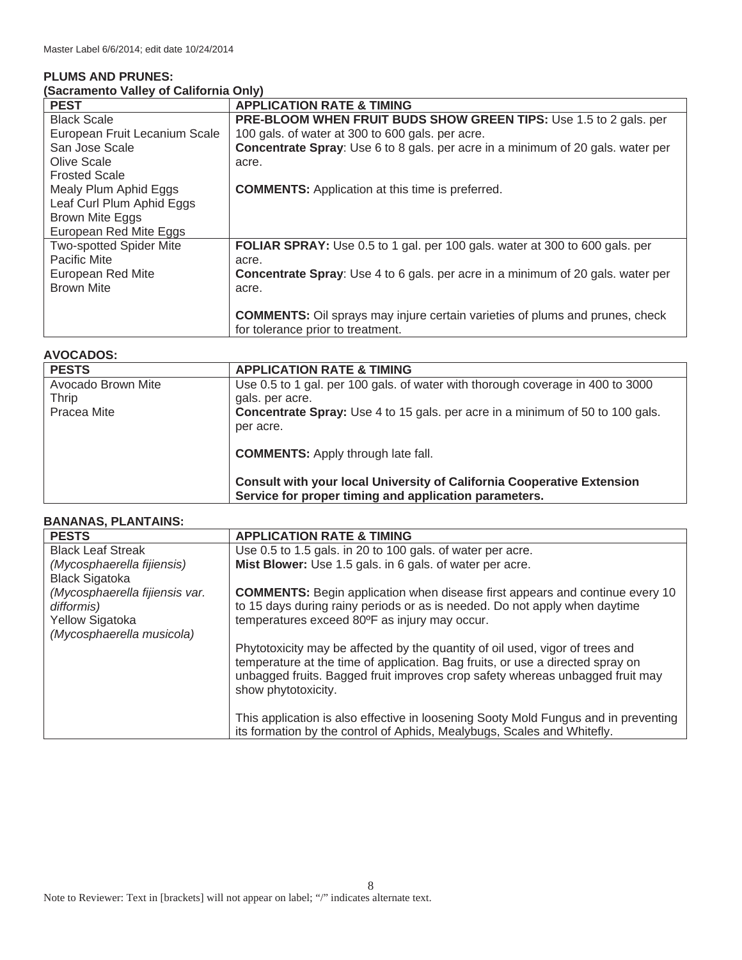## **PLUMS AND PRUNES:**

| <b>PEST</b>                    | <b>APPLICATION RATE &amp; TIMING</b>                                                   |
|--------------------------------|----------------------------------------------------------------------------------------|
| <b>Black Scale</b>             | <b>PRE-BLOOM WHEN FRUIT BUDS SHOW GREEN TIPS:</b> Use 1.5 to 2 gals. per               |
| European Fruit Lecanium Scale  | 100 gals. of water at 300 to 600 gals. per acre.                                       |
| San Jose Scale                 | Concentrate Spray: Use 6 to 8 gals. per acre in a minimum of 20 gals. water per        |
| Olive Scale                    | acre.                                                                                  |
| <b>Frosted Scale</b>           |                                                                                        |
| Mealy Plum Aphid Eggs          | <b>COMMENTS:</b> Application at this time is preferred.                                |
| Leaf Curl Plum Aphid Eggs      |                                                                                        |
| Brown Mite Eggs                |                                                                                        |
| European Red Mite Eggs         |                                                                                        |
| <b>Two-spotted Spider Mite</b> | <b>FOLIAR SPRAY:</b> Use 0.5 to 1 gal. per 100 gals. water at 300 to 600 gals. per     |
| <b>Pacific Mite</b>            | acre.                                                                                  |
| <b>European Red Mite</b>       | <b>Concentrate Spray:</b> Use 4 to 6 gals. per acre in a minimum of 20 gals. water per |
| <b>Brown Mite</b>              | acre.                                                                                  |
|                                |                                                                                        |
|                                | <b>COMMENTS:</b> Oil sprays may injure certain varieties of plums and prunes, check    |
|                                | for tolerance prior to treatment.                                                      |

## **AVOCADOS:**

| <b>PESTS</b>       | <b>APPLICATION RATE &amp; TIMING</b>                                                                                                   |
|--------------------|----------------------------------------------------------------------------------------------------------------------------------------|
| Avocado Brown Mite | Use 0.5 to 1 gal. per 100 gals. of water with thorough coverage in 400 to 3000                                                         |
| <b>Thrip</b>       | gals, per acre.                                                                                                                        |
| Pracea Mite        | <b>Concentrate Spray:</b> Use 4 to 15 gals. per acre in a minimum of 50 to 100 gals.                                                   |
|                    | per acre.                                                                                                                              |
|                    | <b>COMMENTS:</b> Apply through late fall.                                                                                              |
|                    | <b>Consult with your local University of California Cooperative Extension</b><br>Service for proper timing and application parameters. |

## **BANANAS, PLANTAINS:**

| <b>PESTS</b>                                 | <b>APPLICATION RATE &amp; TIMING</b>                                                                                                                                                                                                             |
|----------------------------------------------|--------------------------------------------------------------------------------------------------------------------------------------------------------------------------------------------------------------------------------------------------|
| <b>Black Leaf Streak</b>                     | Use 0.5 to 1.5 gals. in 20 to 100 gals. of water per acre.                                                                                                                                                                                       |
| (Mycosphaerella fijiensis)                   | Mist Blower: Use 1.5 gals. in 6 gals. of water per acre.                                                                                                                                                                                         |
| <b>Black Sigatoka</b>                        |                                                                                                                                                                                                                                                  |
| (Mycosphaerella fijiensis var.<br>difformis) | <b>COMMENTS:</b> Begin application when disease first appears and continue every 10<br>to 15 days during rainy periods or as is needed. Do not apply when daytime                                                                                |
| <b>Yellow Sigatoka</b>                       | temperatures exceed 80°F as injury may occur.                                                                                                                                                                                                    |
| (Mycosphaerella musicola)                    |                                                                                                                                                                                                                                                  |
|                                              | Phytotoxicity may be affected by the quantity of oil used, vigor of trees and<br>temperature at the time of application. Bag fruits, or use a directed spray on<br>unbagged fruits. Bagged fruit improves crop safety whereas unbagged fruit may |
|                                              | show phytotoxicity.                                                                                                                                                                                                                              |
|                                              | This application is also effective in loosening Sooty Mold Fungus and in preventing<br>its formation by the control of Aphids, Mealybugs, Scales and Whitefly.                                                                                   |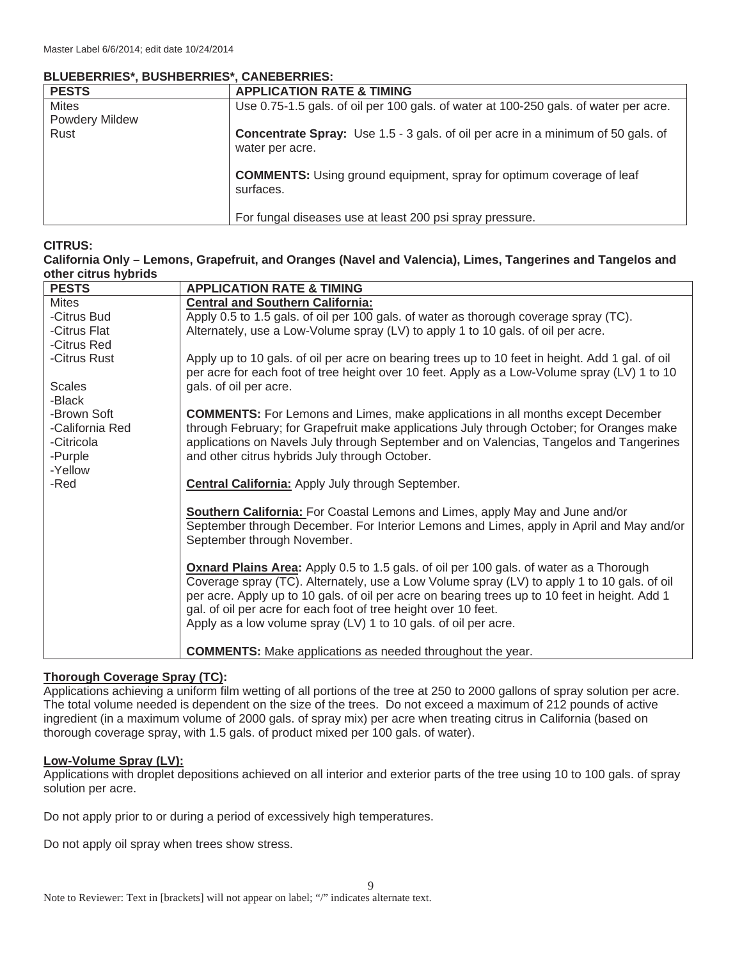## **BLUEBERRIES\*, BUSHBERRIES\*, CANEBERRIES:**

| <b>PESTS</b>          | <b>APPLICATION RATE &amp; TIMING</b>                                                                       |
|-----------------------|------------------------------------------------------------------------------------------------------------|
| <b>Mites</b>          | Use 0.75-1.5 gals. of oil per 100 gals. of water at 100-250 gals. of water per acre.                       |
| <b>Powdery Mildew</b> |                                                                                                            |
| Rust                  | <b>Concentrate Spray:</b> Use 1.5 - 3 gals. of oil per acre in a minimum of 50 gals. of<br>water per acre. |
|                       | <b>COMMENTS:</b> Using ground equipment, spray for optimum coverage of leaf<br>surfaces.                   |
|                       | For fungal diseases use at least 200 psi spray pressure.                                                   |

## **CITRUS:**

#### **California Only – Lemons, Grapefruit, and Oranges (Navel and Valencia), Limes, Tangerines and Tangelos and other citrus hybrids**

| <b>PESTS</b>    | <b>APPLICATION RATE &amp; TIMING</b>                                                             |
|-----------------|--------------------------------------------------------------------------------------------------|
| <b>Mites</b>    | <b>Central and Southern California:</b>                                                          |
| -Citrus Bud     | Apply 0.5 to 1.5 gals. of oil per 100 gals. of water as thorough coverage spray (TC).            |
| -Citrus Flat    | Alternately, use a Low-Volume spray (LV) to apply 1 to 10 gals. of oil per acre.                 |
| -Citrus Red     |                                                                                                  |
| -Citrus Rust    | Apply up to 10 gals. of oil per acre on bearing trees up to 10 feet in height. Add 1 gal. of oil |
|                 | per acre for each foot of tree height over 10 feet. Apply as a Low-Volume spray (LV) 1 to 10     |
| <b>Scales</b>   | gals. of oil per acre.                                                                           |
| -Black          |                                                                                                  |
| -Brown Soft     | <b>COMMENTS:</b> For Lemons and Limes, make applications in all months except December           |
| -California Red | through February; for Grapefruit make applications July through October; for Oranges make        |
| -Citricola      | applications on Navels July through September and on Valencias, Tangelos and Tangerines          |
| -Purple         | and other citrus hybrids July through October.                                                   |
| -Yellow<br>-Red |                                                                                                  |
|                 | <b>Central California:</b> Apply July through September.                                         |
|                 | Southern California: For Coastal Lemons and Limes, apply May and June and/or                     |
|                 | September through December. For Interior Lemons and Limes, apply in April and May and/or         |
|                 | September through November.                                                                      |
|                 |                                                                                                  |
|                 | <b>Oxnard Plains Area:</b> Apply 0.5 to 1.5 gals. of oil per 100 gals. of water as a Thorough    |
|                 | Coverage spray (TC). Alternately, use a Low Volume spray (LV) to apply 1 to 10 gals. of oil      |
|                 | per acre. Apply up to 10 gals. of oil per acre on bearing trees up to 10 feet in height. Add 1   |
|                 | gal. of oil per acre for each foot of tree height over 10 feet.                                  |
|                 | Apply as a low volume spray (LV) 1 to 10 gals. of oil per acre.                                  |
|                 |                                                                                                  |
|                 | <b>COMMENTS:</b> Make applications as needed throughout the year.                                |

## **Thorough Coverage Spray (TC):**

Applications achieving a uniform film wetting of all portions of the tree at 250 to 2000 gallons of spray solution per acre. The total volume needed is dependent on the size of the trees. Do not exceed a maximum of 212 pounds of active ingredient (in a maximum volume of 2000 gals. of spray mix) per acre when treating citrus in California (based on thorough coverage spray, with 1.5 gals. of product mixed per 100 gals. of water).

## **Low-Volume Spray (LV):**

Applications with droplet depositions achieved on all interior and exterior parts of the tree using 10 to 100 gals. of spray solution per acre.

9

Do not apply prior to or during a period of excessively high temperatures.

Do not apply oil spray when trees show stress.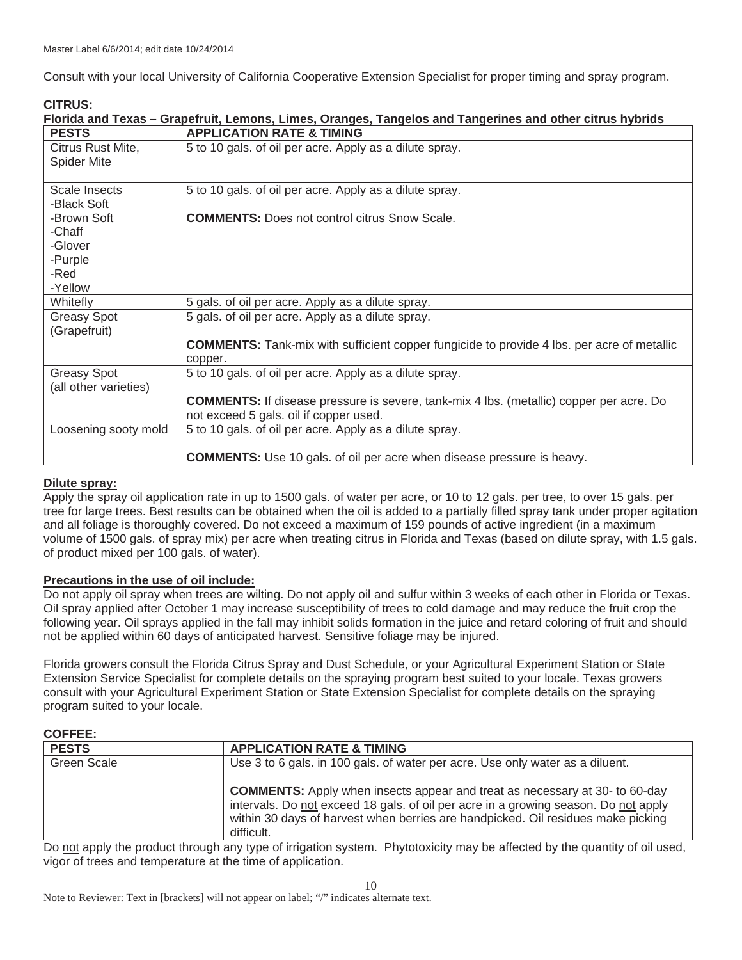Consult with your local University of California Cooperative Extension Specialist for proper timing and spray program.

| <b>CITRUS:</b>        |                                                                                                          |
|-----------------------|----------------------------------------------------------------------------------------------------------|
|                       | Florida and Texas – Grapefruit, Lemons, Limes, Oranges, Tangelos and Tangerines and other citrus hybrids |
| <b>PESTS</b>          | <b>APPLICATION RATE &amp; TIMING</b>                                                                     |
| Citrus Rust Mite,     | 5 to 10 gals. of oil per acre. Apply as a dilute spray.                                                  |
| <b>Spider Mite</b>    |                                                                                                          |
|                       |                                                                                                          |
| Scale Insects         | 5 to 10 gals. of oil per acre. Apply as a dilute spray.                                                  |
| -Black Soft           |                                                                                                          |
| -Brown Soft           | <b>COMMENTS:</b> Does not control citrus Snow Scale.                                                     |
| -Chaff                |                                                                                                          |
| -Glover               |                                                                                                          |
| -Purple               |                                                                                                          |
| -Red                  |                                                                                                          |
| -Yellow               |                                                                                                          |
| Whitefly              | 5 gals. of oil per acre. Apply as a dilute spray.                                                        |
| <b>Greasy Spot</b>    | 5 gals. of oil per acre. Apply as a dilute spray.                                                        |
| (Grapefruit)          |                                                                                                          |
|                       | <b>COMMENTS:</b> Tank-mix with sufficient copper fungicide to provide 4 lbs. per acre of metallic        |
|                       | copper.                                                                                                  |
| <b>Greasy Spot</b>    | 5 to 10 gals. of oil per acre. Apply as a dilute spray.                                                  |
| (all other varieties) |                                                                                                          |
|                       | <b>COMMENTS:</b> If disease pressure is severe, tank-mix 4 lbs. (metallic) copper per acre. Do           |
|                       | not exceed 5 gals. oil if copper used.                                                                   |
| Loosening sooty mold  | 5 to 10 gals. of oil per acre. Apply as a dilute spray.                                                  |
|                       |                                                                                                          |
|                       | <b>COMMENTS:</b> Use 10 gals. of oil per acre when disease pressure is heavy.                            |

## **Dilute spray:**

Apply the spray oil application rate in up to 1500 gals. of water per acre, or 10 to 12 gals. per tree, to over 15 gals. per tree for large trees. Best results can be obtained when the oil is added to a partially filled spray tank under proper agitation and all foliage is thoroughly covered. Do not exceed a maximum of 159 pounds of active ingredient (in a maximum volume of 1500 gals. of spray mix) per acre when treating citrus in Florida and Texas (based on dilute spray, with 1.5 gals. of product mixed per 100 gals. of water).

## **Precautions in the use of oil include:**

Do not apply oil spray when trees are wilting. Do not apply oil and sulfur within 3 weeks of each other in Florida or Texas. Oil spray applied after October 1 may increase susceptibility of trees to cold damage and may reduce the fruit crop the following year. Oil sprays applied in the fall may inhibit solids formation in the juice and retard coloring of fruit and should not be applied within 60 days of anticipated harvest. Sensitive foliage may be injured.

Florida growers consult the Florida Citrus Spray and Dust Schedule, or your Agricultural Experiment Station or State Extension Service Specialist for complete details on the spraying program best suited to your locale. Texas growers consult with your Agricultural Experiment Station or State Extension Specialist for complete details on the spraying program suited to your locale.

## **COFFEE:**

| <b>PESTS</b>       | <b>APPLICATION RATE &amp; TIMING</b>                                                                                                                                                                                                                                        |
|--------------------|-----------------------------------------------------------------------------------------------------------------------------------------------------------------------------------------------------------------------------------------------------------------------------|
| <b>Green Scale</b> | Use 3 to 6 gals. in 100 gals, of water per acre. Use only water as a diluent.                                                                                                                                                                                               |
|                    | <b>COMMENTS:</b> Apply when insects appear and treat as necessary at 30- to 60-day<br>intervals. Do not exceed 18 gals. of oil per acre in a growing season. Do not apply<br>within 30 days of harvest when berries are handpicked. Oil residues make picking<br>difficult. |

Do not apply the product through any type of irrigation system. Phytotoxicity may be affected by the quantity of oil used, vigor of trees and temperature at the time of application.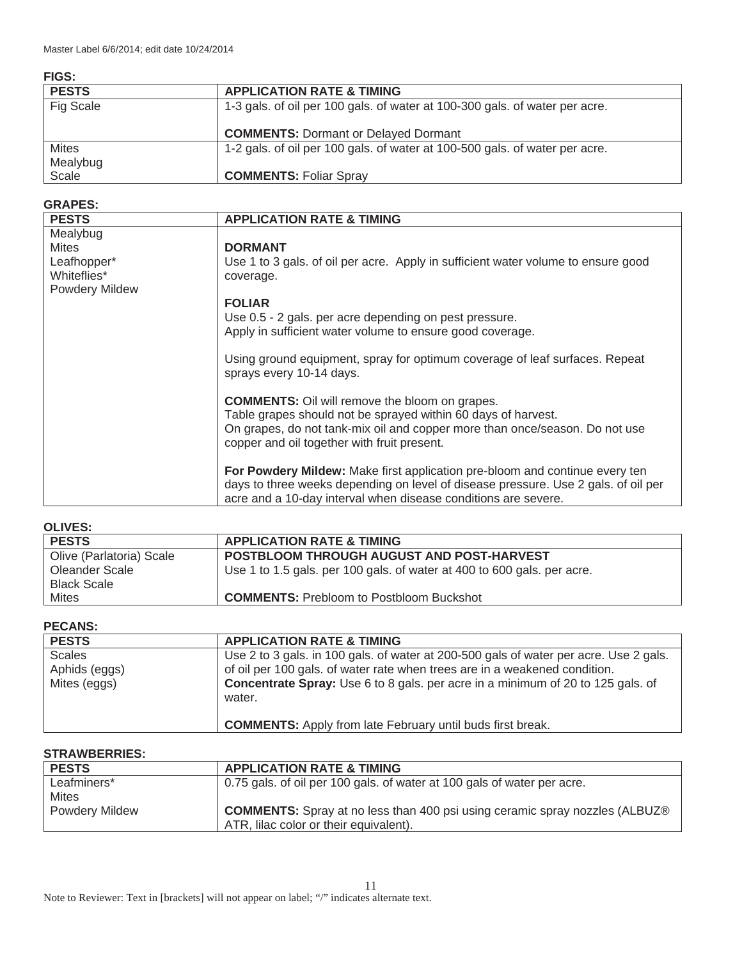| ۰.<br>۰.<br>×<br>w<br>۰.<br>۰. |
|--------------------------------|
|                                |

| .            |                                                                             |
|--------------|-----------------------------------------------------------------------------|
| <b>PESTS</b> | <b>APPLICATION RATE &amp; TIMING</b>                                        |
| Fig Scale    | 1-3 gals. of oil per 100 gals. of water at 100-300 gals. of water per acre. |
|              | <b>COMMENTS: Dormant or Delayed Dormant</b>                                 |
| <b>Mites</b> | 1-2 gals. of oil per 100 gals. of water at 100-500 gals. of water per acre. |
| Mealybug     |                                                                             |
| Scale        | <b>COMMENTS: Foliar Spray</b>                                               |

## **GRAPES:**

| <b>PESTS</b>                                        | <b>APPLICATION RATE &amp; TIMING</b>                                                                                                                                                                                                                 |
|-----------------------------------------------------|------------------------------------------------------------------------------------------------------------------------------------------------------------------------------------------------------------------------------------------------------|
| Mealybug                                            |                                                                                                                                                                                                                                                      |
| <b>Mites</b>                                        | <b>DORMANT</b>                                                                                                                                                                                                                                       |
| Leafhopper*<br>Whiteflies*<br><b>Powdery Mildew</b> | Use 1 to 3 gals. of oil per acre. Apply in sufficient water volume to ensure good<br>coverage.                                                                                                                                                       |
|                                                     | <b>FOLIAR</b>                                                                                                                                                                                                                                        |
|                                                     | Use 0.5 - 2 gals. per acre depending on pest pressure.<br>Apply in sufficient water volume to ensure good coverage.                                                                                                                                  |
|                                                     | Using ground equipment, spray for optimum coverage of leaf surfaces. Repeat<br>sprays every 10-14 days.                                                                                                                                              |
|                                                     | <b>COMMENTS:</b> Oil will remove the bloom on grapes.<br>Table grapes should not be sprayed within 60 days of harvest.<br>On grapes, do not tank-mix oil and copper more than once/season. Do not use<br>copper and oil together with fruit present. |
|                                                     | For Powdery Mildew: Make first application pre-bloom and continue every ten<br>days to three weeks depending on level of disease pressure. Use 2 gals. of oil per<br>acre and a 10-day interval when disease conditions are severe.                  |

## **OLIVES:**

| v∟w∟v.                   |                                                                         |
|--------------------------|-------------------------------------------------------------------------|
| <b>PESTS</b>             | <b>APPLICATION RATE &amp; TIMING</b>                                    |
| Olive (Parlatoria) Scale | POSTBLOOM THROUGH AUGUST AND POST-HARVEST                               |
| Oleander Scale           | Use 1 to 1.5 gals. per 100 gals. of water at 400 to 600 gals. per acre. |
| <b>Black Scale</b>       |                                                                         |
| Mites                    | <b>COMMENTS:</b> Prebloom to Postbloom Buckshot                         |

## **PECANS:**

| <b>PESTS</b>                                   | <b>APPLICATION RATE &amp; TIMING</b>                                                                                                                                                                                                                                    |
|------------------------------------------------|-------------------------------------------------------------------------------------------------------------------------------------------------------------------------------------------------------------------------------------------------------------------------|
| <b>Scales</b><br>Aphids (eggs)<br>Mites (eggs) | Use 2 to 3 gals. in 100 gals. of water at 200-500 gals of water per acre. Use 2 gals.<br>of oil per 100 gals. of water rate when trees are in a weakened condition.<br><b>Concentrate Spray:</b> Use 6 to 8 gals. per acre in a minimum of 20 to 125 gals. of<br>water. |
|                                                | <b>COMMENTS:</b> Apply from late February until buds first break.                                                                                                                                                                                                       |

## **STRAWBERRIES:**

| <b>PESTS</b>          | <b>APPLICATION RATE &amp; TIMING</b>                                                |
|-----------------------|-------------------------------------------------------------------------------------|
| Leafminers*           | 0.75 gals, of oil per 100 gals, of water at 100 gals of water per acre.             |
| <b>Mites</b>          |                                                                                     |
| <b>Powdery Mildew</b> | <b>COMMENTS:</b> Spray at no less than 400 psi using ceramic spray nozzles (ALBUZ®) |
|                       | ATR, lilac color or their equivalent).                                              |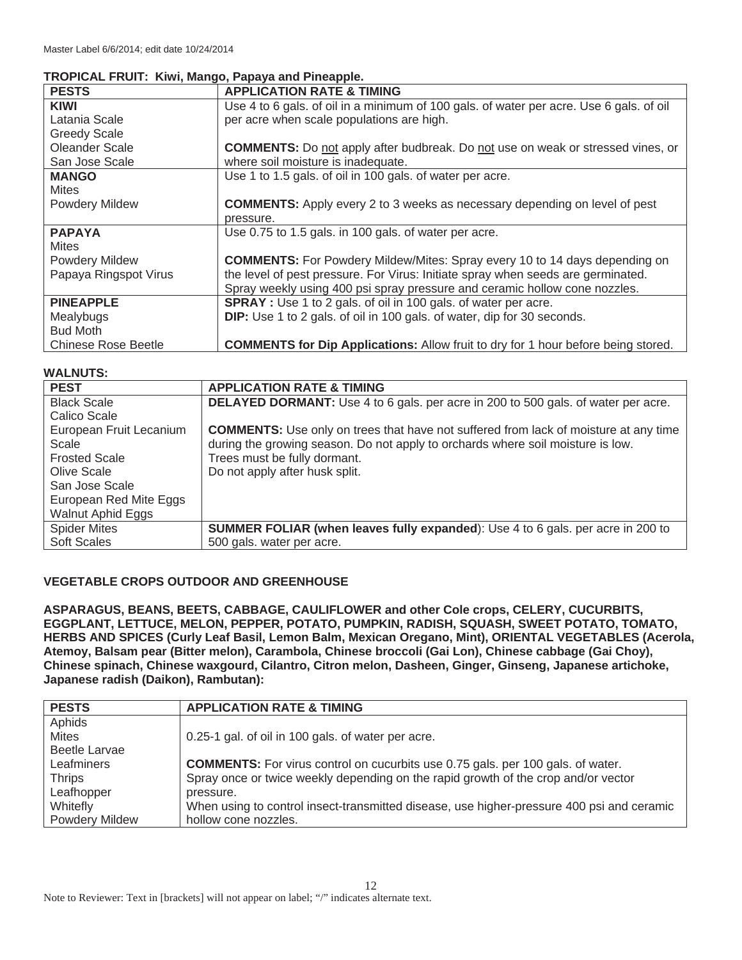## **TROPICAL FRUIT: Kiwi, Mango, Papaya and Pineapple.**

| <b>PESTS</b>               | <b>APPLICATION RATE &amp; TIMING</b>                                                     |
|----------------------------|------------------------------------------------------------------------------------------|
| <b>KIWI</b>                | Use 4 to 6 gals. of oil in a minimum of 100 gals. of water per acre. Use 6 gals. of oil  |
| Latania Scale              | per acre when scale populations are high.                                                |
| <b>Greedy Scale</b>        |                                                                                          |
| Oleander Scale             | <b>COMMENTS:</b> Do not apply after budbreak. Do not use on weak or stressed vines, or   |
| San Jose Scale             | where soil moisture is inadequate.                                                       |
| <b>MANGO</b>               | Use 1 to 1.5 gals. of oil in 100 gals. of water per acre.                                |
| <b>Mites</b>               |                                                                                          |
| <b>Powdery Mildew</b>      | <b>COMMENTS:</b> Apply every 2 to 3 weeks as necessary depending on level of pest        |
|                            | pressure.                                                                                |
| <b>PAPAYA</b>              | Use 0.75 to 1.5 gals. in 100 gals. of water per acre.                                    |
| <b>Mites</b>               |                                                                                          |
| Powdery Mildew             | <b>COMMENTS:</b> For Powdery Mildew/Mites: Spray every 10 to 14 days depending on        |
| Papaya Ringspot Virus      | the level of pest pressure. For Virus: Initiate spray when seeds are germinated.         |
|                            | Spray weekly using 400 psi spray pressure and ceramic hollow cone nozzles.               |
| <b>PINEAPPLE</b>           | <b>SPRAY</b> : Use 1 to 2 gals. of oil in 100 gals. of water per acre.                   |
| Mealybugs                  | <b>DIP:</b> Use 1 to 2 gals. of oil in 100 gals. of water, dip for 30 seconds.           |
| <b>Bud Moth</b>            |                                                                                          |
| <b>Chinese Rose Beetle</b> | <b>COMMENTS for Dip Applications: Allow fruit to dry for 1 hour before being stored.</b> |

## **WALNUTS:**

| ,,,,,,,,,,,             |                                                                                             |
|-------------------------|---------------------------------------------------------------------------------------------|
| <b>PEST</b>             | <b>APPLICATION RATE &amp; TIMING</b>                                                        |
| <b>Black Scale</b>      | <b>DELAYED DORMANT:</b> Use 4 to 6 gals. per acre in 200 to 500 gals. of water per acre.    |
| Calico Scale            |                                                                                             |
| European Fruit Lecanium | <b>COMMENTS:</b> Use only on trees that have not suffered from lack of moisture at any time |
| Scale                   | during the growing season. Do not apply to orchards where soil moisture is low.             |
| <b>Frosted Scale</b>    | Trees must be fully dormant.                                                                |
| Olive Scale             | Do not apply after husk split.                                                              |
| San Jose Scale          |                                                                                             |
| European Red Mite Eggs  |                                                                                             |
| Walnut Aphid Eggs       |                                                                                             |
| <b>Spider Mites</b>     | <b>SUMMER FOLIAR (when leaves fully expanded):</b> Use 4 to 6 gals. per acre in 200 to      |
| <b>Soft Scales</b>      | 500 gals. water per acre.                                                                   |

#### **VEGETABLE CROPS OUTDOOR AND GREENHOUSE**

**ASPARAGUS, BEANS, BEETS, CABBAGE, CAULIFLOWER and other Cole crops, CELERY, CUCURBITS, EGGPLANT, LETTUCE, MELON, PEPPER, POTATO, PUMPKIN, RADISH, SQUASH, SWEET POTATO, TOMATO, HERBS AND SPICES (Curly Leaf Basil, Lemon Balm, Mexican Oregano, Mint), ORIENTAL VEGETABLES (Acerola, Atemoy, Balsam pear (Bitter melon), Carambola, Chinese broccoli (Gai Lon), Chinese cabbage (Gai Choy), Chinese spinach, Chinese waxgourd, Cilantro, Citron melon, Dasheen, Ginger, Ginseng, Japanese artichoke, Japanese radish (Daikon), Rambutan):** 

| <b>PESTS</b>          | <b>APPLICATION RATE &amp; TIMING</b>                                                      |
|-----------------------|-------------------------------------------------------------------------------------------|
| Aphids                |                                                                                           |
| <b>Mites</b>          | 0.25-1 gal. of oil in 100 gals. of water per acre.                                        |
| <b>Beetle Larvae</b>  |                                                                                           |
| Leafminers            | <b>COMMENTS:</b> For virus control on cucurbits use 0.75 gals. per 100 gals. of water.    |
| <b>Thrips</b>         | Spray once or twice weekly depending on the rapid growth of the crop and/or vector        |
| Leafhopper            | pressure.                                                                                 |
| Whitefly              | When using to control insect-transmitted disease, use higher-pressure 400 psi and ceramic |
| <b>Powdery Mildew</b> | hollow cone nozzles.                                                                      |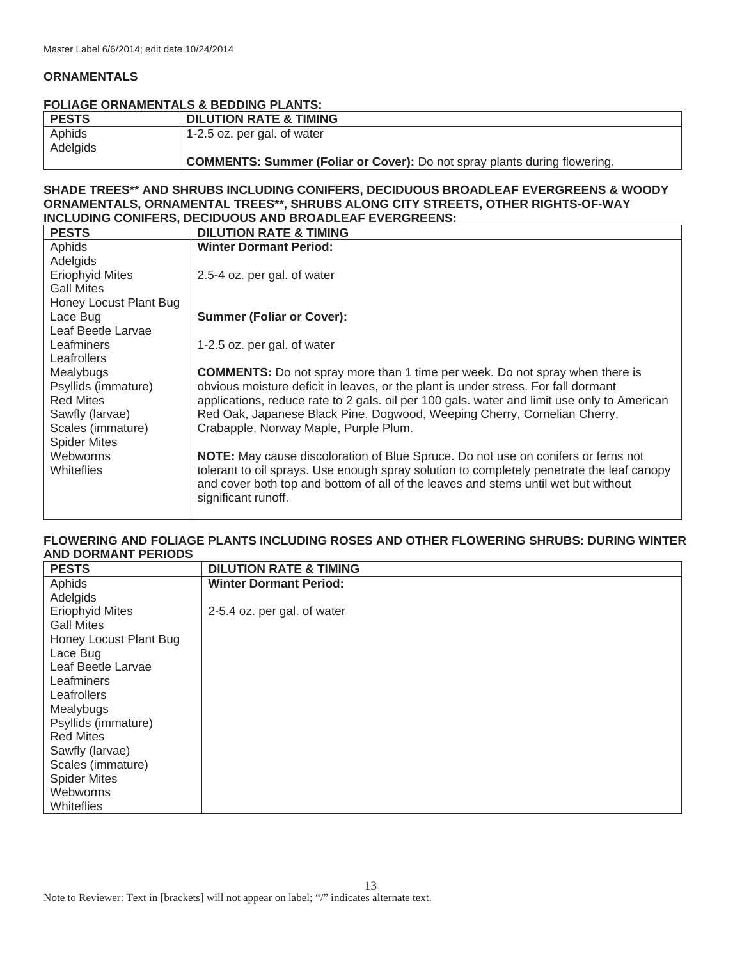#### **ORNAMENTALS**

#### **FOLIAGE ORNAMENTALS & BEDDING PLANTS:**

| <b>PESTS</b> | <b>DILUTION RATE &amp; TIMING</b>                                                |
|--------------|----------------------------------------------------------------------------------|
| Aphids       | 1-2.5 oz. per gal. of water                                                      |
| Adelgids     |                                                                                  |
|              | <b>COMMENTS: Summer (Foliar or Cover):</b> Do not spray plants during flowering. |

#### **SHADE TREES\*\* AND SHRUBS INCLUDING CONIFERS, DECIDUOUS BROADLEAF EVERGREENS & WOODY ORNAMENTALS, ORNAMENTAL TREES\*\*, SHRUBS ALONG CITY STREETS, OTHER RIGHTS-OF-WAY INCLUDING CONIFERS, DECIDUOUS AND BROADLEAF EVERGREENS:**

| <b>PESTS</b>           | <b>DILUTION RATE &amp; TIMING</b>                                                                                                                                               |
|------------------------|---------------------------------------------------------------------------------------------------------------------------------------------------------------------------------|
| Aphids                 | <b>Winter Dormant Period:</b>                                                                                                                                                   |
| Adelgids               |                                                                                                                                                                                 |
| <b>Eriophyid Mites</b> | 2.5-4 oz. per gal. of water                                                                                                                                                     |
| <b>Gall Mites</b>      |                                                                                                                                                                                 |
| Honey Locust Plant Bug |                                                                                                                                                                                 |
| Lace Bug               | <b>Summer (Foliar or Cover):</b>                                                                                                                                                |
| Leaf Beetle Larvae     |                                                                                                                                                                                 |
| Leafminers             | 1-2.5 oz. per gal. of water                                                                                                                                                     |
| Leafrollers            |                                                                                                                                                                                 |
| Mealybugs              | <b>COMMENTS:</b> Do not spray more than 1 time per week. Do not spray when there is                                                                                             |
| Psyllids (immature)    | obvious moisture deficit in leaves, or the plant is under stress. For fall dormant                                                                                              |
| <b>Red Mites</b>       | applications, reduce rate to 2 gals. oil per 100 gals. water and limit use only to American                                                                                     |
| Sawfly (larvae)        | Red Oak, Japanese Black Pine, Dogwood, Weeping Cherry, Cornelian Cherry,                                                                                                        |
| Scales (immature)      | Crabapple, Norway Maple, Purple Plum.                                                                                                                                           |
| <b>Spider Mites</b>    |                                                                                                                                                                                 |
| Webworms               | NOTE: May cause discoloration of Blue Spruce. Do not use on conifers or ferns not                                                                                               |
| <b>Whiteflies</b>      | tolerant to oil sprays. Use enough spray solution to completely penetrate the leaf canopy<br>and cover both top and bottom of all of the leaves and stems until wet but without |
|                        | significant runoff.                                                                                                                                                             |
|                        |                                                                                                                                                                                 |

#### **FLOWERING AND FOLIAGE PLANTS INCLUDING ROSES AND OTHER FLOWERING SHRUBS: DURING WINTER AND DORMANT PERIODS**

| <b>PESTS</b>           | <b>DILUTION RATE &amp; TIMING</b> |
|------------------------|-----------------------------------|
| Aphids                 | <b>Winter Dormant Period:</b>     |
| Adelgids               |                                   |
| <b>Eriophyid Mites</b> | 2-5.4 oz. per gal. of water       |
| <b>Gall Mites</b>      |                                   |
| Honey Locust Plant Bug |                                   |
| Lace Bug               |                                   |
| Leaf Beetle Larvae     |                                   |
| Leafminers             |                                   |
| Leafrollers            |                                   |
| Mealybugs              |                                   |
| Psyllids (immature)    |                                   |
| <b>Red Mites</b>       |                                   |
| Sawfly (larvae)        |                                   |
| Scales (immature)      |                                   |
| <b>Spider Mites</b>    |                                   |
| Webworms               |                                   |
| Whiteflies             |                                   |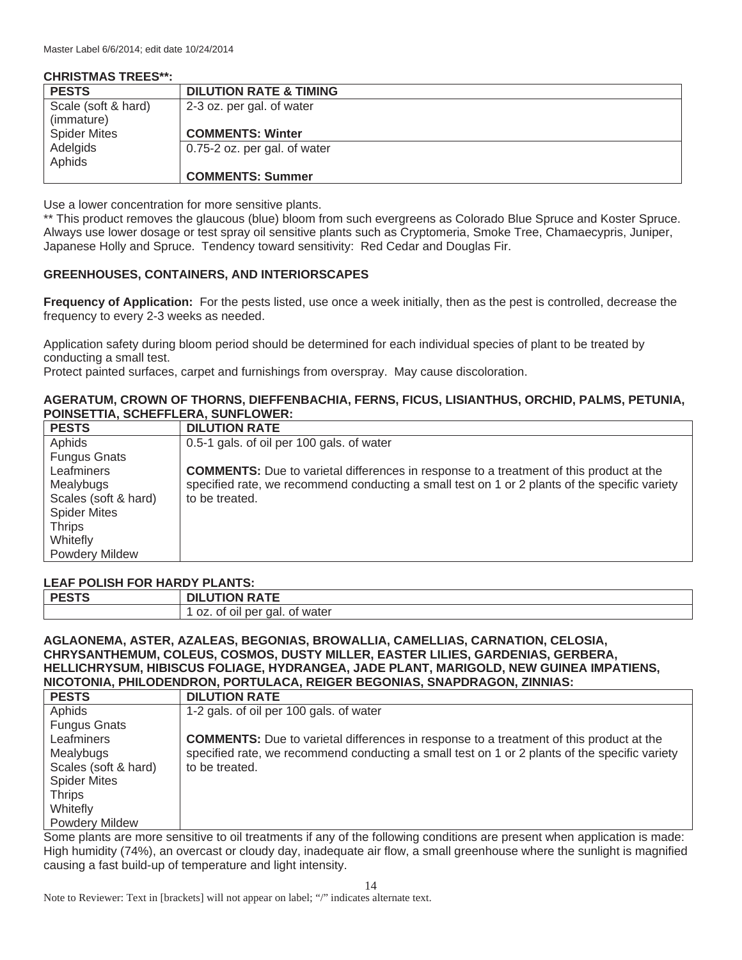**CHRISTMAS TREES\*\*:** 

| <b>CHRISTMAS TREES**:</b>         |                                   |
|-----------------------------------|-----------------------------------|
| <b>PESTS</b>                      | <b>DILUTION RATE &amp; TIMING</b> |
| Scale (soft & hard)<br>(immature) | 2-3 oz. per gal. of water         |
| <b>Spider Mites</b>               | <b>COMMENTS: Winter</b>           |
| Adelgids                          | 0.75-2 oz. per gal. of water      |
| Aphids                            |                                   |
|                                   | <b>COMMENTS: Summer</b>           |

Use a lower concentration for more sensitive plants.

\*\* This product removes the glaucous (blue) bloom from such evergreens as Colorado Blue Spruce and Koster Spruce. Always use lower dosage or test spray oil sensitive plants such as Cryptomeria, Smoke Tree, Chamaecypris, Juniper, Japanese Holly and Spruce. Tendency toward sensitivity: Red Cedar and Douglas Fir.

## **GREENHOUSES, CONTAINERS, AND INTERIORSCAPES**

**Frequency of Application:** For the pests listed, use once a week initially, then as the pest is controlled, decrease the frequency to every 2-3 weeks as needed.

Application safety during bloom period should be determined for each individual species of plant to be treated by conducting a small test.

Protect painted surfaces, carpet and furnishings from overspray. May cause discoloration.

#### **AGERATUM, CROWN OF THORNS, DIEFFENBACHIA, FERNS, FICUS, LISIANTHUS, ORCHID, PALMS, PETUNIA, POINSETTIA, SCHEFFLERA, SUNFLOWER:**

| <b>PESTS</b>          | <b>DILUTION RATE</b>                                                                           |
|-----------------------|------------------------------------------------------------------------------------------------|
| Aphids                | 0.5-1 gals, of oil per 100 gals, of water                                                      |
| <b>Fungus Gnats</b>   |                                                                                                |
| Leafminers            | <b>COMMENTS:</b> Due to varietal differences in response to a treatment of this product at the |
| Mealybugs             | specified rate, we recommend conducting a small test on 1 or 2 plants of the specific variety  |
| Scales (soft & hard)  | to be treated.                                                                                 |
| <b>Spider Mites</b>   |                                                                                                |
| <b>Thrips</b>         |                                                                                                |
| Whitefly              |                                                                                                |
| <b>Powdery Mildew</b> |                                                                                                |

#### **LEAF POLISH FOR HARDY PLANTS:**

| <b>DECTO</b> | <b>UTION RATE</b><br>DI.     |
|--------------|------------------------------|
|              | oz. of oil per gal. of water |

## **AGLAONEMA, ASTER, AZALEAS, BEGONIAS, BROWALLIA, CAMELLIAS, CARNATION, CELOSIA, CHRYSANTHEMUM, COLEUS, COSMOS, DUSTY MILLER, EASTER LILIES, GARDENIAS, GERBERA, HELLICHRYSUM, HIBISCUS FOLIAGE, HYDRANGEA, JADE PLANT, MARIGOLD, NEW GUINEA IMPATIENS, NICOTONIA, PHILODENDRON, PORTULACA, REIGER BEGONIAS, SNAPDRAGON, ZINNIAS:**

| <b>PESTS</b>          | <b>DILUTION RATE</b>                                                                           |
|-----------------------|------------------------------------------------------------------------------------------------|
| Aphids                | 1-2 gals. of oil per 100 gals. of water                                                        |
| <b>Fungus Gnats</b>   |                                                                                                |
| Leafminers            | <b>COMMENTS:</b> Due to varietal differences in response to a treatment of this product at the |
| Mealybugs             | specified rate, we recommend conducting a small test on 1 or 2 plants of the specific variety  |
| Scales (soft & hard)  | to be treated.                                                                                 |
| <b>Spider Mites</b>   |                                                                                                |
| <b>Thrips</b>         |                                                                                                |
| Whitefly              |                                                                                                |
| <b>Powdery Mildew</b> |                                                                                                |

Some plants are more sensitive to oil treatments if any of the following conditions are present when application is made: High humidity (74%), an overcast or cloudy day, inadequate air flow, a small greenhouse where the sunlight is magnified causing a fast build-up of temperature and light intensity.

Note to Reviewer: Text in [brackets] will not appear on label; "/" indicates alternate text.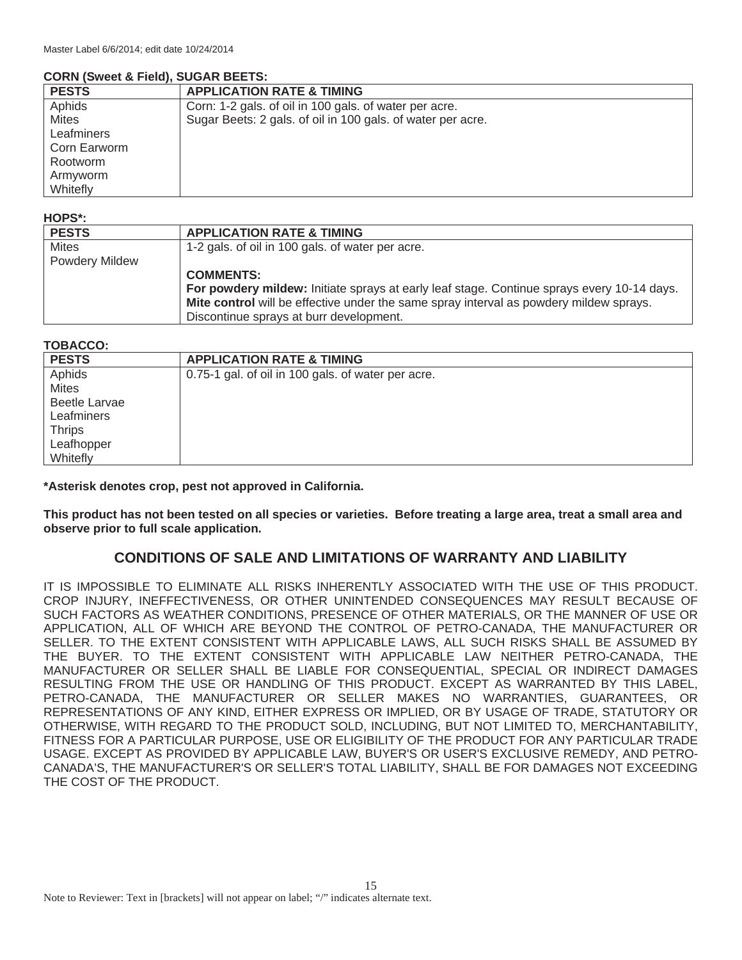#### **CORN (Sweet & Field), SUGAR BEETS:**

| <b>PESTS</b> | <b>APPLICATION RATE &amp; TIMING</b>                        |
|--------------|-------------------------------------------------------------|
| Aphids       | Corn: 1-2 gals. of oil in 100 gals. of water per acre.      |
| <b>Mites</b> | Sugar Beets: 2 gals. of oil in 100 gals. of water per acre. |
| Leafminers   |                                                             |
| Corn Earworm |                                                             |
| Rootworm     |                                                             |
| Armyworm     |                                                             |
| Whitefly     |                                                             |

## **HOPS\*:**

| <b>PESTS</b>          | <b>APPLICATION RATE &amp; TIMING</b>                                                       |
|-----------------------|--------------------------------------------------------------------------------------------|
| <b>Mites</b>          | 1-2 gals. of oil in 100 gals. of water per acre.                                           |
| <b>Powdery Mildew</b> |                                                                                            |
|                       | <b>COMMENTS:</b>                                                                           |
|                       | For powdery mildew: Initiate sprays at early leaf stage. Continue sprays every 10-14 days. |
|                       | Mite control will be effective under the same spray interval as powdery mildew sprays.     |
|                       | Discontinue sprays at burr development.                                                    |

#### **TOBACCO:**

| <b>PESTS</b>  | <b>APPLICATION RATE &amp; TIMING</b>               |
|---------------|----------------------------------------------------|
| Aphids        | 0.75-1 gal. of oil in 100 gals. of water per acre. |
| <b>Mites</b>  |                                                    |
| Beetle Larvae |                                                    |
| Leafminers    |                                                    |
| <b>Thrips</b> |                                                    |
| Leafhopper    |                                                    |
| Whitefly      |                                                    |

**\*Asterisk denotes crop, pest not approved in California.** 

**This product has not been tested on all species or varieties. Before treating a large area, treat a small area and observe prior to full scale application.**

## **CONDITIONS OF SALE AND LIMITATIONS OF WARRANTY AND LIABILITY**

IT IS IMPOSSIBLE TO ELIMINATE ALL RISKS INHERENTLY ASSOCIATED WITH THE USE OF THIS PRODUCT. CROP INJURY, INEFFECTIVENESS, OR OTHER UNINTENDED CONSEQUENCES MAY RESULT BECAUSE OF SUCH FACTORS AS WEATHER CONDITIONS, PRESENCE OF OTHER MATERIALS, OR THE MANNER OF USE OR APPLICATION, ALL OF WHICH ARE BEYOND THE CONTROL OF PETRO-CANADA, THE MANUFACTURER OR SELLER. TO THE EXTENT CONSISTENT WITH APPLICABLE LAWS, ALL SUCH RISKS SHALL BE ASSUMED BY THE BUYER. TO THE EXTENT CONSISTENT WITH APPLICABLE LAW NEITHER PETRO-CANADA, THE MANUFACTURER OR SELLER SHALL BE LIABLE FOR CONSEQUENTIAL, SPECIAL OR INDIRECT DAMAGES RESULTING FROM THE USE OR HANDLING OF THIS PRODUCT. EXCEPT AS WARRANTED BY THIS LABEL, PETRO-CANADA, THE MANUFACTURER OR SELLER MAKES NO WARRANTIES, GUARANTEES, OR REPRESENTATIONS OF ANY KIND, EITHER EXPRESS OR IMPLIED, OR BY USAGE OF TRADE, STATUTORY OR OTHERWISE, WITH REGARD TO THE PRODUCT SOLD, INCLUDING, BUT NOT LIMITED TO, MERCHANTABILITY, FITNESS FOR A PARTICULAR PURPOSE, USE OR ELIGIBILITY OF THE PRODUCT FOR ANY PARTICULAR TRADE USAGE. EXCEPT AS PROVIDED BY APPLICABLE LAW, BUYER'S OR USER'S EXCLUSIVE REMEDY, AND PETRO-CANADA'S, THE MANUFACTURER'S OR SELLER'S TOTAL LIABILITY, SHALL BE FOR DAMAGES NOT EXCEEDING THE COST OF THE PRODUCT.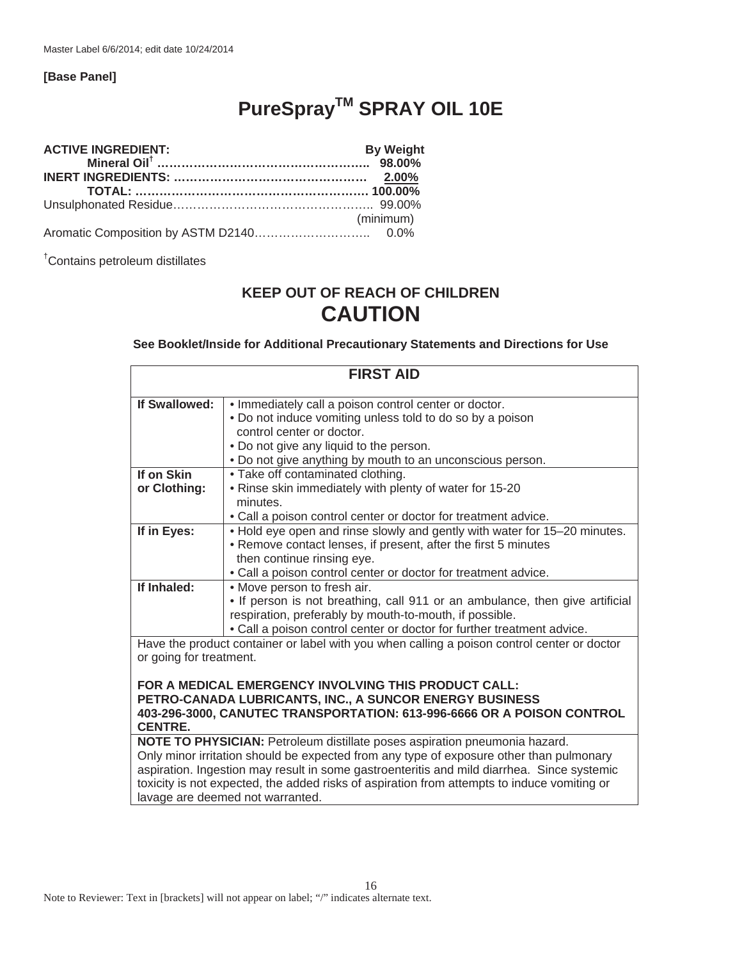#### **[Base Panel]**

# **PureSpray™ SPRAY OIL 10E**

| <b>ACTIVE INGREDIENT:</b><br>Mineral Oil <sup>†</sup> …………………………………………… <sup>……………</sup> 98.00% | <b>By Weight</b> |
|-------------------------------------------------------------------------------------------------|------------------|
|                                                                                                 |                  |
|                                                                                                 |                  |
|                                                                                                 |                  |
|                                                                                                 | (minimum)        |
|                                                                                                 |                  |

† Contains petroleum distillates

## **KEEP OUT OF REACH OF CHILDREN CAUTION**

**See Booklet/Inside for Additional Precautionary Statements and Directions for Use** 

| <b>FIRST AID</b>                                                                                      |                                                                                             |
|-------------------------------------------------------------------------------------------------------|---------------------------------------------------------------------------------------------|
|                                                                                                       |                                                                                             |
| If Swallowed:                                                                                         | . Immediately call a poison control center or doctor.                                       |
|                                                                                                       | . Do not induce vomiting unless told to do so by a poison                                   |
|                                                                                                       | control center or doctor.                                                                   |
|                                                                                                       | . Do not give any liquid to the person.                                                     |
|                                                                                                       | . Do not give anything by mouth to an unconscious person.                                   |
| If on Skin                                                                                            | • Take off contaminated clothing.                                                           |
| or Clothing:                                                                                          | . Rinse skin immediately with plenty of water for 15-20                                     |
|                                                                                                       | minutes.                                                                                    |
|                                                                                                       | • Call a poison control center or doctor for treatment advice.                              |
| If in Eyes:                                                                                           | . Hold eye open and rinse slowly and gently with water for 15-20 minutes.                   |
|                                                                                                       | • Remove contact lenses, if present, after the first 5 minutes                              |
|                                                                                                       | then continue rinsing eye.                                                                  |
|                                                                                                       | . Call a poison control center or doctor for treatment advice.                              |
| If Inhaled:                                                                                           | • Move person to fresh air.                                                                 |
|                                                                                                       | . If person is not breathing, call 911 or an ambulance, then give artificial                |
|                                                                                                       | respiration, preferably by mouth-to-mouth, if possible.                                     |
|                                                                                                       | • Call a poison control center or doctor for further treatment advice.                      |
|                                                                                                       | Have the product container or label with you when calling a poison control center or doctor |
| or going for treatment.                                                                               |                                                                                             |
|                                                                                                       |                                                                                             |
|                                                                                                       | FOR A MEDICAL EMERGENCY INVOLVING THIS PRODUCT CALL:                                        |
|                                                                                                       | PETRO-CANADA LUBRICANTS, INC., A SUNCOR ENERGY BUSINESS                                     |
| 403-296-3000, CANUTEC TRANSPORTATION: 613-996-6666 OR A POISON CONTROL                                |                                                                                             |
| <b>CENTRE.</b>                                                                                        |                                                                                             |
| NOTE TO PHYSICIAN: Petroleum distillate poses aspiration pneumonia hazard.                            |                                                                                             |
| Only minor irritation should be expected from any type of exposure other than pulmonary               |                                                                                             |
| aspiration. Ingestion may result in some gastroenteritis and mild diarrhea. Since systemic            |                                                                                             |
| tanisitu in mat anno astal tha political sicha af popularion faces pitcesopte to induce una diffusion |                                                                                             |

toxicity is not expected, the added risks of aspiration from attempts to induce vomiting or lavage are deemed not warranted.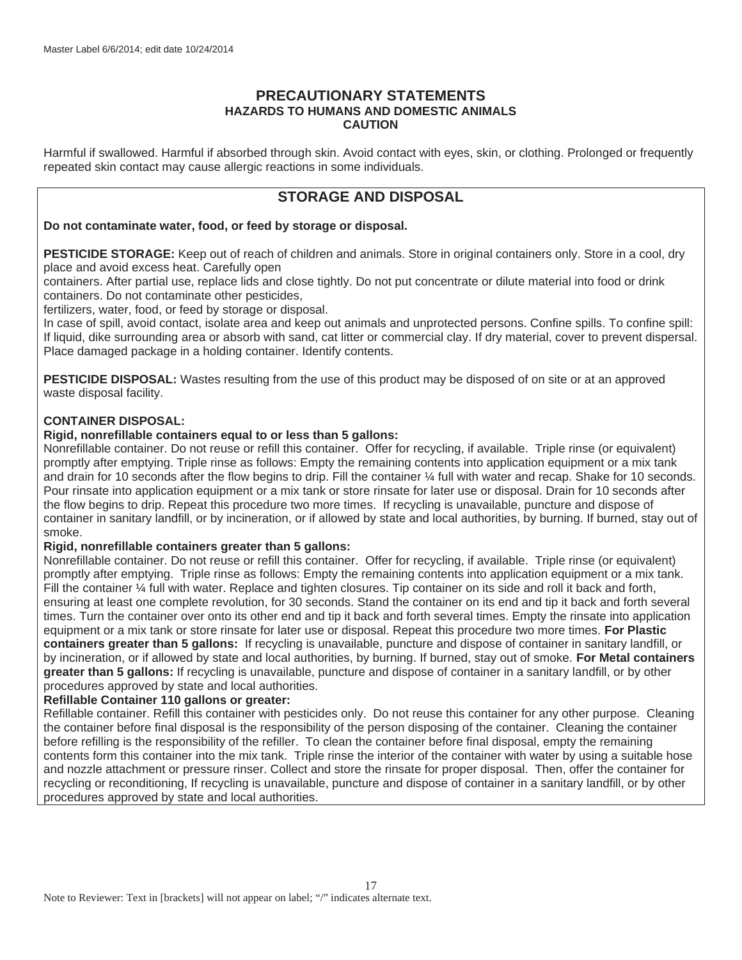## **PRECAUTIONARY STATEMENTS HAZARDS TO HUMANS AND DOMESTIC ANIMALS CAUTION**

Harmful if swallowed. Harmful if absorbed through skin. Avoid contact with eyes, skin, or clothing. Prolonged or frequently repeated skin contact may cause allergic reactions in some individuals.

## **STORAGE AND DISPOSAL**

#### **Do not contaminate water, food, or feed by storage or disposal.**

**PESTICIDE STORAGE:** Keep out of reach of children and animals. Store in original containers only. Store in a cool, dry place and avoid excess heat. Carefully open

containers. After partial use, replace lids and close tightly. Do not put concentrate or dilute material into food or drink containers. Do not contaminate other pesticides,

fertilizers, water, food, or feed by storage or disposal.

In case of spill, avoid contact, isolate area and keep out animals and unprotected persons. Confine spills. To confine spill: If liquid, dike surrounding area or absorb with sand, cat litter or commercial clay. If dry material, cover to prevent dispersal. Place damaged package in a holding container. Identify contents.

**PESTICIDE DISPOSAL:** Wastes resulting from the use of this product may be disposed of on site or at an approved waste disposal facility.

#### **CONTAINER DISPOSAL:**

#### **Rigid, nonrefillable containers equal to or less than 5 gallons:**

Nonrefillable container. Do not reuse or refill this container. Offer for recycling, if available. Triple rinse (or equivalent) promptly after emptying. Triple rinse as follows: Empty the remaining contents into application equipment or a mix tank and drain for 10 seconds after the flow begins to drip. Fill the container 1/4 full with water and recap. Shake for 10 seconds. Pour rinsate into application equipment or a mix tank or store rinsate for later use or disposal. Drain for 10 seconds after the flow begins to drip. Repeat this procedure two more times. If recycling is unavailable, puncture and dispose of container in sanitary landfill, or by incineration, or if allowed by state and local authorities, by burning. If burned, stay out of smoke.

#### **Rigid, nonrefillable containers greater than 5 gallons:**

Nonrefillable container. Do not reuse or refill this container. Offer for recycling, if available. Triple rinse (or equivalent) promptly after emptying. Triple rinse as follows: Empty the remaining contents into application equipment or a mix tank. Fill the container  $\frac{1}{4}$  full with water. Replace and tighten closures. Tip container on its side and roll it back and forth, ensuring at least one complete revolution, for 30 seconds. Stand the container on its end and tip it back and forth several times. Turn the container over onto its other end and tip it back and forth several times. Empty the rinsate into application equipment or a mix tank or store rinsate for later use or disposal. Repeat this procedure two more times. **For Plastic containers greater than 5 gallons:** If recycling is unavailable, puncture and dispose of container in sanitary landfill, or by incineration, or if allowed by state and local authorities, by burning. If burned, stay out of smoke. **For Metal containers greater than 5 gallons:** If recycling is unavailable, puncture and dispose of container in a sanitary landfill, or by other procedures approved by state and local authorities.

## **Refillable Container 110 gallons or greater:**

Refillable container. Refill this container with pesticides only. Do not reuse this container for any other purpose. Cleaning the container before final disposal is the responsibility of the person disposing of the container. Cleaning the container before refilling is the responsibility of the refiller. To clean the container before final disposal, empty the remaining contents form this container into the mix tank. Triple rinse the interior of the container with water by using a suitable hose and nozzle attachment or pressure rinser. Collect and store the rinsate for proper disposal. Then, offer the container for recycling or reconditioning, If recycling is unavailable, puncture and dispose of container in a sanitary landfill, or by other procedures approved by state and local authorities.